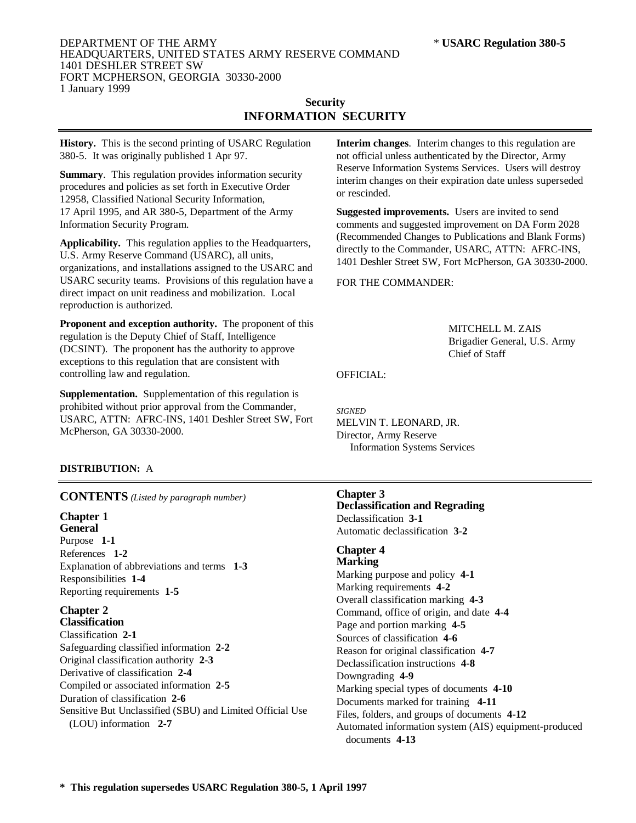### DEPARTMENT OF THE ARMY \* **USARC Regulation 380-5** HEADQUARTERS, UNITED STATES ARMY RESERVE COMMAND 1401 DESHLER STREET SW FORT MCPHERSON, GEORGIA 30330-2000 1 January 1999

# **Security INFORMATION SECURITY**

**History.** This is the second printing of USARC Regulation 380-5. It was originally published 1 Apr 97.

**Summary**. This regulation provides information security procedures and policies as set forth in Executive Order 12958, Classified National Security Information, 17 April 1995, and AR 380-5, Department of the Army Information Security Program.

**Applicability.** This regulation applies to the Headquarters, U.S. Army Reserve Command (USARC), all units, organizations, and installations assigned to the USARC and USARC security teams. Provisions of this regulation have a direct impact on unit readiness and mobilization. Local reproduction is authorized.

**Proponent and exception authority.** The proponent of this regulation is the Deputy Chief of Staff, Intelligence (DCSINT). The proponent has the authority to approve exceptions to this regulation that are consistent with controlling law and regulation.

**Supplementation.** Supplementation of this regulation is prohibited without prior approval from the Commander, USARC, ATTN: AFRC-INS, 1401 Deshler Street SW, Fort McPherson, GA 30330-2000.

# **DISTRIBUTION:** A

# **CONTENTS** *(Listed by paragraph number)*

#### **Chapter 1 General**

Purpose **1-1** References **1-2** Explanation of abbreviations and terms **1-3** Responsibilities **1-4** Reporting requirements **1-5**

#### **Chapter 2 Classification**

Classification **2-1** Safeguarding classified information **2-2** Original classification authority **2-3** Derivative of classification **2-4** Compiled or associated information **2-5** Duration of classification **2-6** Sensitive But Unclassified (SBU) and Limited Official Use (LOU) information **2-7**

**Interim changes**. Interim changes to this regulation are not official unless authenticated by the Director, Army Reserve Information Systems Services. Users will destroy interim changes on their expiration date unless superseded or rescinded.

**Suggested improvements.** Users are invited to send comments and suggested improvement on DA Form 2028 (Recommended Changes to Publications and Blank Forms) directly to the Commander, USARC, ATTN: AFRC-INS, 1401 Deshler Street SW, Fort McPherson, GA 30330-2000.

# FOR THE COMMANDER:

MITCHELL M. ZAIS Brigadier General, U.S. Army Chief of Staff

## OFFICIAL:

*SIGNED* MELVIN T. LEONARD, JR. Director, Army Reserve Information Systems Services

### **Chapter 3**

**Declassification and Regrading** Declassification **3-1** Automatic declassification **3-2**

# **Chapter 4**

**Marking** Marking purpose and policy **4-1** Marking requirements **4-2** Overall classification marking **4-3** Command, office of origin, and date **4-4** Page and portion marking **4-5** Sources of classification **4-6** Reason for original classification **4-7** Declassification instructions **4-8** Downgrading **4-9** Marking special types of documents **4-10** Documents marked for training **4-11** Files, folders, and groups of documents **4-12** Automated information system (AIS) equipment-produced documents **4-13**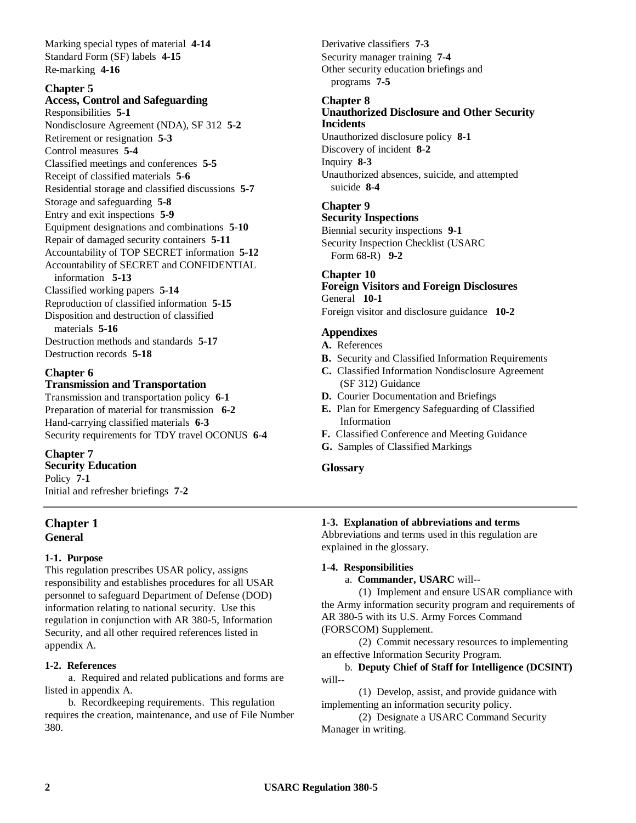Marking special types of material **4-14** Standard Form (SF) labels **4-15** Re-marking **4-16**

# **Chapter 5**

**Access, Control and Safeguarding** Responsibilities **5-1** Nondisclosure Agreement (NDA), SF 312 **5-2** Retirement or resignation **5-3** Control measures **5-4** Classified meetings and conferences **5-5**

Receipt of classified materials **5-6** Residential storage and classified discussions **5-7** Storage and safeguarding **5-8** Entry and exit inspections **5-9** Equipment designations and combinations **5-10** Repair of damaged security containers **5-11** Accountability of TOP SECRET information **5-12** Accountability of SECRET and CONFIDENTIAL information **5-13** Classified working papers **5-14** Reproduction of classified information **5-15** Disposition and destruction of classified materials **5-16** Destruction methods and standards **5-17** Destruction records **5-18**

### **Chapter 6**

### **Transmission and Transportation**

Transmission and transportation policy **6-1** Preparation of material for transmission **6-2** Hand-carrying classified materials **6-3** Security requirements for TDY travel OCONUS **6-4**

# **Chapter 7**

**Security Education** Policy **7-1** Initial and refresher briefings **7-2**

# **Chapter 1 General**

### **1-1. Purpose**

This regulation prescribes USAR policy, assigns responsibility and establishes procedures for all USAR personnel to safeguard Department of Defense (DOD) information relating to national security. Use this regulation in conjunction with AR 380-5, Information Security, and all other required references listed in appendix A.

### **1-2. References**

a. Required and related publications and forms are listed in appendix A.

b. Recordkeeping requirements. This regulation requires the creation, maintenance, and use of File Number 380.

Derivative classifiers **7-3** Security manager training **7-4** Other security education briefings and programs **7-5**

### **Chapter 8**

## **Unauthorized Disclosure and Other Security Incidents**

Unauthorized disclosure policy **8-1** Discovery of incident **8-2** Inquiry **8-3** Unauthorized absences, suicide, and attempted suicide **8-4**

# **Chapter 9**

**Security Inspections** Biennial security inspections **9-1** Security Inspection Checklist (USARC Form 68-R) **9-2**

# **Chapter 10**

**Foreign Visitors and Foreign Disclosures** General **10-1**

Foreign visitor and disclosure guidance **10-2**

## **Appendixes**

- **A.** References
- **B.** Security and Classified Information Requirements
- **C.** Classified Information Nondisclosure Agreement (SF 312) Guidance
- **D.** Courier Documentation and Briefings
- **E.** Plan for Emergency Safeguarding of Classified Information
- **F.** Classified Conference and Meeting Guidance
- **G.** Samples of Classified Markings

### **Glossary**

### **1-3. Explanation of abbreviations and terms**

Abbreviations and terms used in this regulation are explained in the glossary.

### **1-4. Responsibilities**

a. **Commander, USARC** will--

(1) Implement and ensure USAR compliance with the Army information security program and requirements of AR 380-5 with its U.S. Army Forces Command (FORSCOM) Supplement.

(2) Commit necessary resources to implementing an effective Information Security Program.

b. **Deputy Chief of Staff for Intelligence (DCSINT)** will--

(1) Develop, assist, and provide guidance with implementing an information security policy.

(2) Designate a USARC Command Security Manager in writing.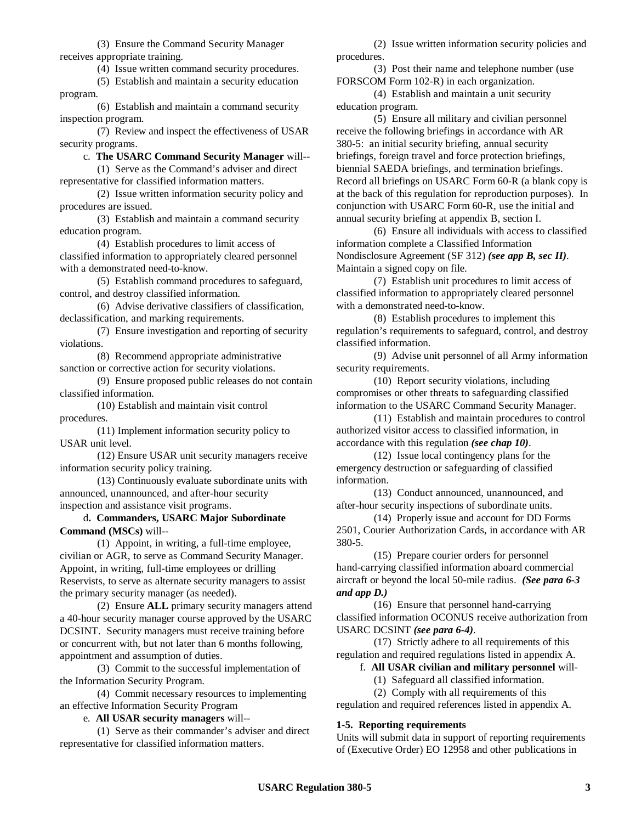(3) Ensure the Command Security Manager receives appropriate training.

(4) Issue written command security procedures.

(5) Establish and maintain a security education program.

(6) Establish and maintain a command security inspection program.

(7) Review and inspect the effectiveness of USAR security programs.

c. **The USARC Command Security Manager** will--

(1) Serve as the Command's adviser and direct representative for classified information matters.

(2) Issue written information security policy and procedures are issued.

(3) Establish and maintain a command security education program.

(4) Establish procedures to limit access of classified information to appropriately cleared personnel with a demonstrated need-to-know.

(5) Establish command procedures to safeguard, control, and destroy classified information.

(6) Advise derivative classifiers of classification, declassification, and marking requirements.

(7) Ensure investigation and reporting of security violations.

(8) Recommend appropriate administrative sanction or corrective action for security violations.

(9) Ensure proposed public releases do not contain classified information.

(10) Establish and maintain visit control procedures.

(11) Implement information security policy to USAR unit level.

(12) Ensure USAR unit security managers receive information security policy training.

(13) Continuously evaluate subordinate units with announced, unannounced, and after-hour security inspection and assistance visit programs.

d**. Commanders, USARC Major Subordinate Command (MSCs)** will--

(1) Appoint, in writing, a full-time employee, civilian or AGR, to serve as Command Security Manager. Appoint, in writing, full-time employees or drilling Reservists, to serve as alternate security managers to assist the primary security manager (as needed).

(2) Ensure **ALL** primary security managers attend a 40-hour security manager course approved by the USARC DCSINT. Security managers must receive training before or concurrent with, but not later than 6 months following, appointment and assumption of duties.

(3) Commit to the successful implementation of the Information Security Program.

(4) Commit necessary resources to implementing an effective Information Security Program

e. **All USAR security managers** will--

(1) Serve as their commander's adviser and direct representative for classified information matters.

(2) Issue written information security policies and procedures.

(3) Post their name and telephone number (use FORSCOM Form 102-R) in each organization.

(4) Establish and maintain a unit security education program.

(5) Ensure all military and civilian personnel receive the following briefings in accordance with AR 380-5: an initial security briefing, annual security briefings, foreign travel and force protection briefings, biennial SAEDA briefings, and termination briefings. Record all briefings on USARC Form 60-R (a blank copy is at the back of this regulation for reproduction purposes). In conjunction with USARC Form 60-R, use the initial and annual security briefing at appendix B, section I.

(6) Ensure all individuals with access to classified information complete a Classified Information Nondisclosure Agreement (SF 312) *(see app B, sec II)*. Maintain a signed copy on file.

(7) Establish unit procedures to limit access of classified information to appropriately cleared personnel with a demonstrated need-to-know.

(8) Establish procedures to implement this regulation's requirements to safeguard, control, and destroy classified information.

(9) Advise unit personnel of all Army information security requirements.

(10) Report security violations, including compromises or other threats to safeguarding classified information to the USARC Command Security Manager.

(11) Establish and maintain procedures to control authorized visitor access to classified information, in accordance with this regulation *(see chap 10)*.

(12) Issue local contingency plans for the emergency destruction or safeguarding of classified information.

(13) Conduct announced, unannounced, and after-hour security inspections of subordinate units.

(14) Properly issue and account for DD Forms 2501, Courier Authorization Cards, in accordance with AR 380-5.

(15) Prepare courier orders for personnel hand-carrying classified information aboard commercial aircraft or beyond the local 50-mile radius. *(See para 6-3 and app D.)*

(16) Ensure that personnel hand-carrying classified information OCONUS receive authorization from USARC DCSINT *(see para 6-4)*.

(17) Strictly adhere to all requirements of this regulation and required regulations listed in appendix A.

f. **All USAR civilian and military personnel** will-

(1) Safeguard all classified information.

(2) Comply with all requirements of this regulation and required references listed in appendix A.

### **1-5. Reporting requirements**

Units will submit data in support of reporting requirements of (Executive Order) EO 12958 and other publications in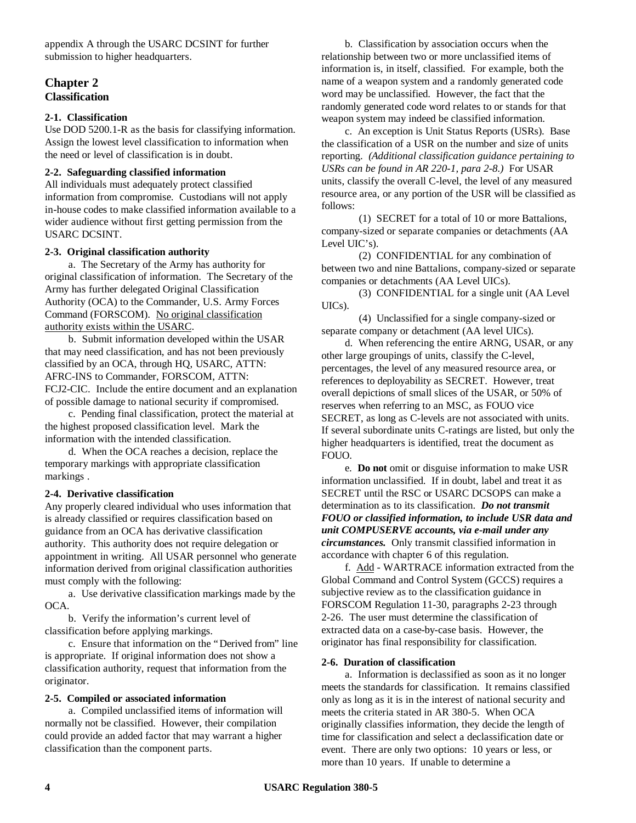appendix A through the USARC DCSINT for further submission to higher headquarters.

## **Chapter 2 Classification**

### **2-1. Classification**

Use DOD 5200.1-R as the basis for classifying information. Assign the lowest level classification to information when the need or level of classification is in doubt.

### **2-2. Safeguarding classified information**

All individuals must adequately protect classified information from compromise. Custodians will not apply in-house codes to make classified information available to a wider audience without first getting permission from the USARC DCSINT.

### **2-3. Original classification authority**

a. The Secretary of the Army has authority for original classification of information. The Secretary of the Army has further delegated Original Classification Authority (OCA) to the Commander, U.S. Army Forces Command (FORSCOM). No original classification authority exists within the USARC.

b. Submit information developed within the USAR that may need classification, and has not been previously classified by an OCA, through HQ, USARC, ATTN: AFRC-INS to Commander, FORSCOM, ATTN: FCJ2-CIC. Include the entire document and an explanation of possible damage to national security if compromised.

c. Pending final classification, protect the material at the highest proposed classification level. Mark the information with the intended classification.

d. When the OCA reaches a decision, replace the temporary markings with appropriate classification markings .

### **2-4. Derivative classification**

Any properly cleared individual who uses information that is already classified or requires classification based on guidance from an OCA has derivative classification authority. This authority does not require delegation or appointment in writing. All USAR personnel who generate information derived from original classification authorities must comply with the following:

a. Use derivative classification markings made by the OCA.

b. Verify the information's current level of classification before applying markings.

c. Ensure that information on the "Derived from" line is appropriate. If original information does not show a classification authority, request that information from the originator.

### **2-5. Compiled or associated information**

a. Compiled unclassified items of information will normally not be classified. However, their compilation could provide an added factor that may warrant a higher classification than the component parts.

b. Classification by association occurs when the relationship between two or more unclassified items of information is, in itself, classified. For example, both the name of a weapon system and a randomly generated code word may be unclassified. However, the fact that the randomly generated code word relates to or stands for that weapon system may indeed be classified information.

c. An exception is Unit Status Reports (USRs). Base the classification of a USR on the number and size of units reporting. *(Additional classification guidance pertaining to USRs can be found in AR 220-1, para 2-8.)* For USAR units, classify the overall C-level, the level of any measured resource area, or any portion of the USR will be classified as follows:

(1) SECRET for a total of 10 or more Battalions, company-sized or separate companies or detachments (AA Level UIC's).

(2) CONFIDENTIAL for any combination of between two and nine Battalions, company-sized or separate companies or detachments (AA Level UICs).

(3) CONFIDENTIAL for a single unit (AA Level UICs).

(4) Unclassified for a single company-sized or separate company or detachment (AA level UICs).

d. When referencing the entire ARNG, USAR, or any other large groupings of units, classify the C-level, percentages, the level of any measured resource area, or references to deployability as SECRET. However, treat overall depictions of small slices of the USAR, or 50% of reserves when referring to an MSC, as FOUO vice SECRET, as long as C-levels are not associated with units. If several subordinate units C-ratings are listed, but only the higher headquarters is identified, treat the document as FOUO.

e. **Do not** omit or disguise information to make USR information unclassified. If in doubt, label and treat it as SECRET until the RSC or USARC DCSOPS can make a determination as to its classification. *Do not transmit FOUO or classified information, to include USR data and unit COMPUSERVE accounts, via e-mail under any circumstances.* Only transmit classified information in accordance with chapter 6 of this regulation.

f. Add - WARTRACE information extracted from the Global Command and Control System (GCCS) requires a subjective review as to the classification guidance in FORSCOM Regulation 11-30, paragraphs 2-23 through 2-26. The user must determine the classification of extracted data on a case-by-case basis. However, the originator has final responsibility for classification.

### **2-6. Duration of classification**

a. Information is declassified as soon as it no longer meets the standards for classification. It remains classified only as long as it is in the interest of national security and meets the criteria stated in AR 380-5. When OCA originally classifies information, they decide the length of time for classification and select a declassification date or event. There are only two options: 10 years or less, or more than 10 years. If unable to determine a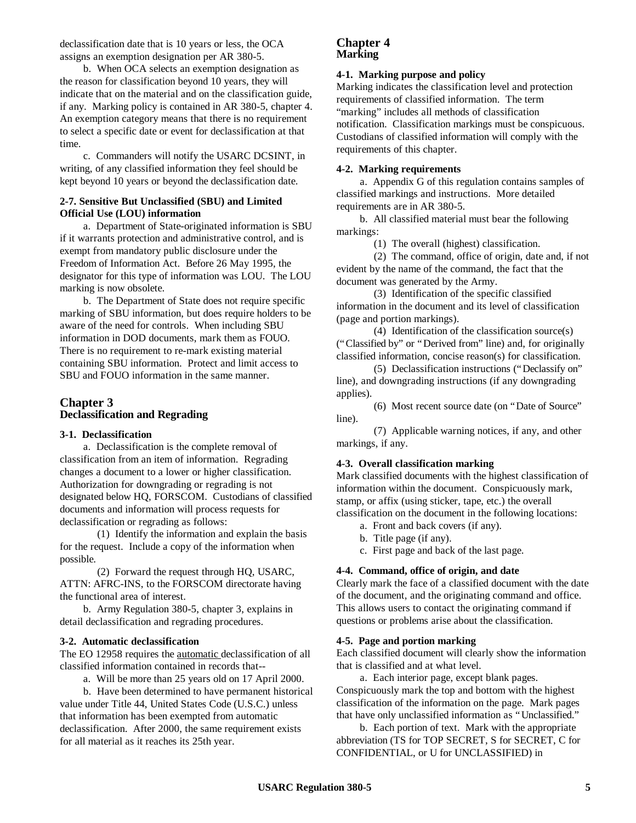declassification date that is 10 years or less, the OCA assigns an exemption designation per AR 380-5.

b. When OCA selects an exemption designation as the reason for classification beyond 10 years, they will indicate that on the material and on the classification guide, if any. Marking policy is contained in AR 380-5, chapter 4. An exemption category means that there is no requirement to select a specific date or event for declassification at that time.

c. Commanders will notify the USARC DCSINT, in writing, of any classified information they feel should be kept beyond 10 years or beyond the declassification date.

### **2-7. Sensitive But Unclassified (SBU) and Limited Official Use (LOU) information**

a. Department of State-originated information is SBU if it warrants protection and administrative control, and is exempt from mandatory public disclosure under the Freedom of Information Act. Before 26 May 1995, the designator for this type of information was LOU. The LOU marking is now obsolete.

b. The Department of State does not require specific marking of SBU information, but does require holders to be aware of the need for controls. When including SBU information in DOD documents, mark them as FOUO. There is no requirement to re-mark existing material containing SBU information. Protect and limit access to SBU and FOUO information in the same manner.

# **Chapter 3 Declassification and Regrading**

### **3-1. Declassification**

a. Declassification is the complete removal of classification from an item of information. Regrading changes a document to a lower or higher classification. Authorization for downgrading or regrading is not designated below HQ, FORSCOM. Custodians of classified documents and information will process requests for declassification or regrading as follows:

(1) Identify the information and explain the basis for the request. Include a copy of the information when possible.

(2) Forward the request through HQ, USARC, ATTN: AFRC-INS, to the FORSCOM directorate having the functional area of interest.

b. Army Regulation 380-5, chapter 3, explains in detail declassification and regrading procedures.

### **3-2. Automatic declassification**

The EO 12958 requires the automatic declassification of all classified information contained in records that--

a. Will be more than 25 years old on 17 April 2000.

b. Have been determined to have permanent historical value under Title 44, United States Code (U.S.C.) unless that information has been exempted from automatic declassification. After 2000, the same requirement exists for all material as it reaches its 25th year.

### **Chapter 4 Marking**

### **4-1. Marking purpose and policy**

Marking indicates the classification level and protection requirements of classified information. The term "marking" includes all methods of classification notification. Classification markings must be conspicuous. Custodians of classified information will comply with the requirements of this chapter.

### **4-2. Marking requirements**

a. Appendix G of this regulation contains samples of classified markings and instructions. More detailed requirements are in AR 380-5.

b. All classified material must bear the following markings:

(1) The overall (highest) classification.

(2) The command, office of origin, date and, if not evident by the name of the command, the fact that the document was generated by the Army.

(3) Identification of the specific classified information in the document and its level of classification (page and portion markings).

(4) Identification of the classification source(s) ("Classified by" or "Derived from" line) and, for originally classified information, concise reason(s) for classification.

(5) Declassification instructions ("Declassify on" line), and downgrading instructions (if any downgrading applies).

(6) Most recent source date (on "Date of Source" line).

(7) Applicable warning notices, if any, and other markings, if any.

### **4-3. Overall classification marking**

Mark classified documents with the highest classification of information within the document. Conspicuously mark, stamp, or affix (using sticker, tape, etc.) the overall classification on the document in the following locations:

- a. Front and back covers (if any).
- b. Title page (if any).
- c. First page and back of the last page.

### **4-4. Command, office of origin, and date**

Clearly mark the face of a classified document with the date of the document, and the originating command and office. This allows users to contact the originating command if questions or problems arise about the classification.

#### **4-5. Page and portion marking**

Each classified document will clearly show the information that is classified and at what level.

a. Each interior page, except blank pages. Conspicuously mark the top and bottom with the highest classification of the information on the page. Mark pages that have only unclassified information as "Unclassified."

b. Each portion of text. Mark with the appropriate abbreviation (TS for TOP SECRET, S for SECRET, C for CONFIDENTIAL, or U for UNCLASSIFIED) in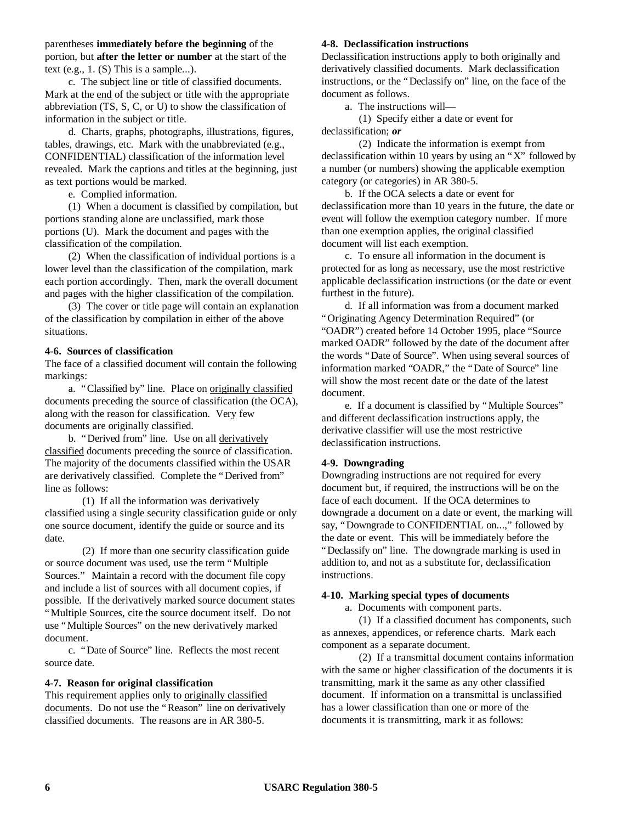parentheses **immediately before the beginning** of the portion, but **after the letter or number** at the start of the text (e.g.,  $1.$  (S) This is a sample...).

c. The subject line or title of classified documents. Mark at the end of the subject or title with the appropriate abbreviation (TS, S, C, or U) to show the classification of information in the subject or title.

d. Charts, graphs, photographs, illustrations, figures, tables, drawings, etc. Mark with the unabbreviated (e.g., CONFIDENTIAL) classification of the information level revealed. Mark the captions and titles at the beginning, just as text portions would be marked.

e. Complied information.

(1) When a document is classified by compilation, but portions standing alone are unclassified, mark those portions (U). Mark the document and pages with the classification of the compilation.

(2) When the classification of individual portions is a lower level than the classification of the compilation, mark each portion accordingly. Then, mark the overall document and pages with the higher classification of the compilation.

(3) The cover or title page will contain an explanation of the classification by compilation in either of the above situations.

### **4-6. Sources of classification**

The face of a classified document will contain the following markings:

a. "Classified by" line. Place on originally classified documents preceding the source of classification (the OCA), along with the reason for classification. Very few documents are originally classified.

b. "Derived from" line. Use on all derivatively classified documents preceding the source of classification. The majority of the documents classified within the USAR are derivatively classified. Complete the "Derived from" line as follows:

(1) If all the information was derivatively classified using a single security classification guide or only one source document, identify the guide or source and its date.

(2) If more than one security classification guide or source document was used, use the term "Multiple Sources." Maintain a record with the document file copy and include a list of sources with all document copies, if possible. If the derivatively marked source document states "Multiple Sources, cite the source document itself. Do not use "Multiple Sources" on the new derivatively marked document.

c. "Date of Source" line. Reflects the most recent source date.

### **4-7. Reason for original classification**

This requirement applies only to originally classified documents. Do not use the "Reason" line on derivatively classified documents. The reasons are in AR 380-5.

#### **4-8. Declassification instructions**

Declassification instructions apply to both originally and derivatively classified documents. Mark declassification instructions, or the "Declassify on" line, on the face of the document as follows.

a. The instructions will—

(1) Specify either a date or event for declassification; *or*

(2) Indicate the information is exempt from declassification within 10 years by using an "X" followed by a number (or numbers) showing the applicable exemption category (or categories) in AR 380-5.

b. If the OCA selects a date or event for declassification more than 10 years in the future, the date or event will follow the exemption category number. If more than one exemption applies, the original classified document will list each exemption.

c. To ensure all information in the document is protected for as long as necessary, use the most restrictive applicable declassification instructions (or the date or event furthest in the future).

d. If all information was from a document marked "Originating Agency Determination Required" (or "OADR") created before 14 October 1995, place "Source marked OADR" followed by the date of the document after the words "Date of Source". When using several sources of information marked "OADR," the "Date of Source" line will show the most recent date or the date of the latest document.

e. If a document is classified by "Multiple Sources" and different declassification instructions apply, the derivative classifier will use the most restrictive declassification instructions.

### **4-9. Downgrading**

Downgrading instructions are not required for every document but, if required, the instructions will be on the face of each document. If the OCA determines to downgrade a document on a date or event, the marking will say, "Downgrade to CONFIDENTIAL on...," followed by the date or event. This will be immediately before the "Declassify on" line. The downgrade marking is used in addition to, and not as a substitute for, declassification instructions.

### **4-10. Marking special types of documents**

a. Documents with component parts.

(1) If a classified document has components, such as annexes, appendices, or reference charts. Mark each component as a separate document.

(2) If a transmittal document contains information with the same or higher classification of the documents it is transmitting, mark it the same as any other classified document. If information on a transmittal is unclassified has a lower classification than one or more of the documents it is transmitting, mark it as follows: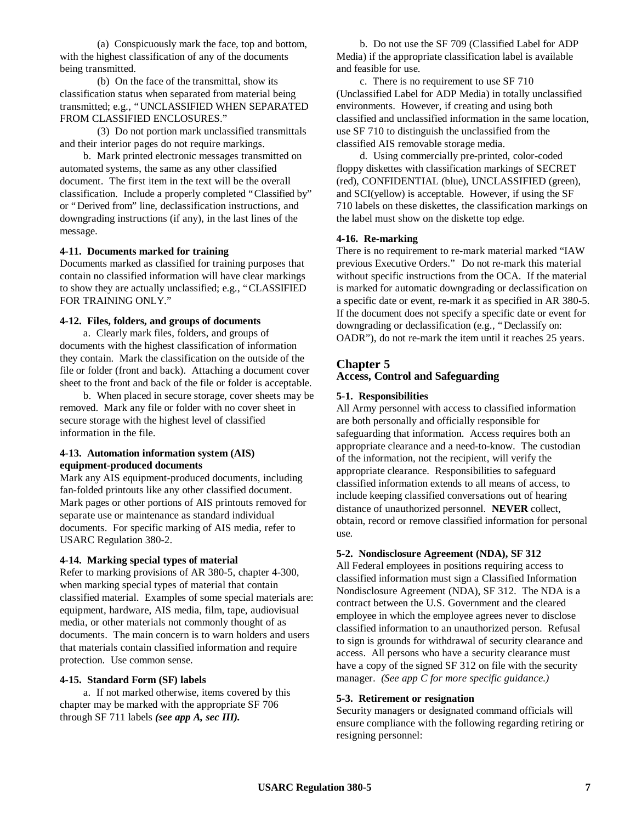(a) Conspicuously mark the face, top and bottom, with the highest classification of any of the documents being transmitted.

(b) On the face of the transmittal, show its classification status when separated from material being transmitted; e.g., "UNCLASSIFIED WHEN SEPARATED FROM CLASSIFIED ENCLOSURES."

(3) Do not portion mark unclassified transmittals and their interior pages do not require markings.

b. Mark printed electronic messages transmitted on automated systems, the same as any other classified document. The first item in the text will be the overall classification. Include a properly completed "Classified by" or "Derived from" line, declassification instructions, and downgrading instructions (if any), in the last lines of the message.

#### **4-11. Documents marked for training**

Documents marked as classified for training purposes that contain no classified information will have clear markings to show they are actually unclassified; e.g., "CLASSIFIED FOR TRAINING ONLY."

#### **4-12. Files, folders, and groups of documents**

a. Clearly mark files, folders, and groups of documents with the highest classification of information they contain. Mark the classification on the outside of the file or folder (front and back). Attaching a document cover sheet to the front and back of the file or folder is acceptable.

b. When placed in secure storage, cover sheets may be removed. Mark any file or folder with no cover sheet in secure storage with the highest level of classified information in the file.

#### **4-13. Automation information system (AIS) equipment-produced documents**

Mark any AIS equipment-produced documents, including fan-folded printouts like any other classified document. Mark pages or other portions of AIS printouts removed for separate use or maintenance as standard individual documents. For specific marking of AIS media, refer to USARC Regulation 380-2.

#### **4-14. Marking special types of material**

Refer to marking provisions of AR 380-5, chapter 4-300, when marking special types of material that contain classified material. Examples of some special materials are: equipment, hardware, AIS media, film, tape, audiovisual media, or other materials not commonly thought of as documents. The main concern is to warn holders and users that materials contain classified information and require protection. Use common sense.

#### **4-15. Standard Form (SF) labels**

a. If not marked otherwise, items covered by this chapter may be marked with the appropriate SF 706 through SF 711 labels *(see app A, sec III).*

b. Do not use the SF 709 (Classified Label for ADP Media) if the appropriate classification label is available and feasible for use.

c. There is no requirement to use SF 710 (Unclassified Label for ADP Media) in totally unclassified environments. However, if creating and using both classified and unclassified information in the same location, use SF 710 to distinguish the unclassified from the classified AIS removable storage media.

d. Using commercially pre-printed, color-coded floppy diskettes with classification markings of SECRET (red), CONFIDENTIAL (blue), UNCLASSIFIED (green), and SCI(yellow) is acceptable. However, if using the SF 710 labels on these diskettes, the classification markings on the label must show on the diskette top edge.

#### **4-16. Re-marking**

There is no requirement to re-mark material marked "IAW previous Executive Orders." Do not re-mark this material without specific instructions from the OCA. If the material is marked for automatic downgrading or declassification on a specific date or event, re-mark it as specified in AR 380-5. If the document does not specify a specific date or event for downgrading or declassification (e.g., "Declassify on: OADR"), do not re-mark the item until it reaches 25 years.

#### **Chapter 5**

#### **Access, Control and Safeguarding**

#### **5-1. Responsibilities**

All Army personnel with access to classified information are both personally and officially responsible for safeguarding that information. Access requires both an appropriate clearance and a need-to-know. The custodian of the information, not the recipient, will verify the appropriate clearance. Responsibilities to safeguard classified information extends to all means of access, to include keeping classified conversations out of hearing distance of unauthorized personnel. **NEVER** collect, obtain, record or remove classified information for personal use.

#### **5-2. Nondisclosure Agreement (NDA), SF 312**

All Federal employees in positions requiring access to classified information must sign a Classified Information Nondisclosure Agreement (NDA), SF 312. The NDA is a contract between the U.S. Government and the cleared employee in which the employee agrees never to disclose classified information to an unauthorized person. Refusal to sign is grounds for withdrawal of security clearance and access. All persons who have a security clearance must have a copy of the signed SF 312 on file with the security manager. *(See app C for more specific guidance.)*

#### **5-3. Retirement or resignation**

Security managers or designated command officials will ensure compliance with the following regarding retiring or resigning personnel: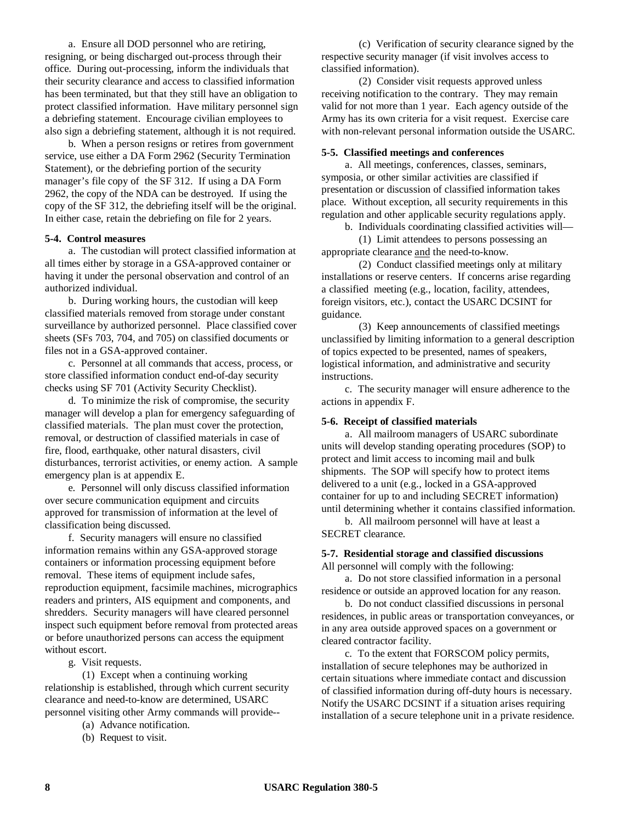a. Ensure all DOD personnel who are retiring, resigning, or being discharged out-process through their office. During out-processing, inform the individuals that their security clearance and access to classified information has been terminated, but that they still have an obligation to protect classified information. Have military personnel sign a debriefing statement. Encourage civilian employees to also sign a debriefing statement, although it is not required.

b. When a person resigns or retires from government service, use either a DA Form 2962 (Security Termination Statement), or the debriefing portion of the security manager's file copy of the SF 312. If using a DA Form 2962, the copy of the NDA can be destroyed. If using the copy of the SF 312, the debriefing itself will be the original. In either case, retain the debriefing on file for 2 years.

#### **5-4. Control measures**

a. The custodian will protect classified information at all times either by storage in a GSA-approved container or having it under the personal observation and control of an authorized individual.

b. During working hours, the custodian will keep classified materials removed from storage under constant surveillance by authorized personnel. Place classified cover sheets (SFs 703, 704, and 705) on classified documents or files not in a GSA-approved container.

c. Personnel at all commands that access, process, or store classified information conduct end-of-day security checks using SF 701 (Activity Security Checklist).

d. To minimize the risk of compromise, the security manager will develop a plan for emergency safeguarding of classified materials. The plan must cover the protection, removal, or destruction of classified materials in case of fire, flood, earthquake, other natural disasters, civil disturbances, terrorist activities, or enemy action. A sample emergency plan is at appendix E.

e. Personnel will only discuss classified information over secure communication equipment and circuits approved for transmission of information at the level of classification being discussed.

f. Security managers will ensure no classified information remains within any GSA-approved storage containers or information processing equipment before removal. These items of equipment include safes, reproduction equipment, facsimile machines, micrographics readers and printers, AIS equipment and components, and shredders. Security managers will have cleared personnel inspect such equipment before removal from protected areas or before unauthorized persons can access the equipment without escort.

g. Visit requests.

(1) Except when a continuing working relationship is established, through which current security clearance and need-to-know are determined, USARC personnel visiting other Army commands will provide--

- (a) Advance notification.
- (b) Request to visit.

(c) Verification of security clearance signed by the respective security manager (if visit involves access to classified information).

(2) Consider visit requests approved unless receiving notification to the contrary. They may remain valid for not more than 1 year. Each agency outside of the Army has its own criteria for a visit request. Exercise care with non-relevant personal information outside the USARC.

#### **5-5. Classified meetings and conferences**

a. All meetings, conferences, classes, seminars, symposia, or other similar activities are classified if presentation or discussion of classified information takes place. Without exception, all security requirements in this regulation and other applicable security regulations apply.

b. Individuals coordinating classified activities will—

(1) Limit attendees to persons possessing an appropriate clearance and the need-to-know.

(2) Conduct classified meetings only at military installations or reserve centers. If concerns arise regarding a classified meeting (e.g., location, facility, attendees, foreign visitors, etc.), contact the USARC DCSINT for guidance.

(3) Keep announcements of classified meetings unclassified by limiting information to a general description of topics expected to be presented, names of speakers, logistical information, and administrative and security instructions.

c. The security manager will ensure adherence to the actions in appendix F.

#### **5-6. Receipt of classified materials**

a. All mailroom managers of USARC subordinate units will develop standing operating procedures (SOP) to protect and limit access to incoming mail and bulk shipments. The SOP will specify how to protect items delivered to a unit (e.g., locked in a GSA-approved container for up to and including SECRET information) until determining whether it contains classified information.

b. All mailroom personnel will have at least a SECRET clearance.

#### **5-7. Residential storage and classified discussions** All personnel will comply with the following:

a. Do not store classified information in a personal residence or outside an approved location for any reason.

b. Do not conduct classified discussions in personal residences, in public areas or transportation conveyances, or in any area outside approved spaces on a government or cleared contractor facility.

c. To the extent that FORSCOM policy permits, installation of secure telephones may be authorized in certain situations where immediate contact and discussion of classified information during off-duty hours is necessary. Notify the USARC DCSINT if a situation arises requiring installation of a secure telephone unit in a private residence.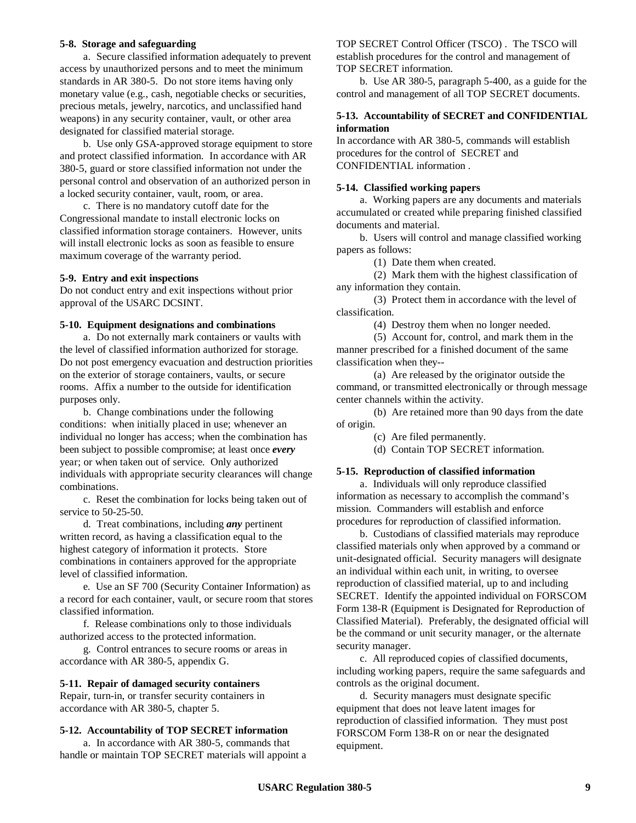#### **5-8. Storage and safeguarding**

a. Secure classified information adequately to prevent access by unauthorized persons and to meet the minimum standards in AR 380-5. Do not store items having only monetary value (e.g., cash, negotiable checks or securities, precious metals, jewelry, narcotics, and unclassified hand weapons) in any security container, vault, or other area designated for classified material storage.

b. Use only GSA-approved storage equipment to store and protect classified information. In accordance with AR 380-5, guard or store classified information not under the personal control and observation of an authorized person in a locked security container, vault, room, or area.

c. There is no mandatory cutoff date for the Congressional mandate to install electronic locks on classified information storage containers. However, units will install electronic locks as soon as feasible to ensure maximum coverage of the warranty period.

#### **5-9. Entry and exit inspections**

Do not conduct entry and exit inspections without prior approval of the USARC DCSINT.

#### **5-10. Equipment designations and combinations**

a. Do not externally mark containers or vaults with the level of classified information authorized for storage. Do not post emergency evacuation and destruction priorities on the exterior of storage containers, vaults, or secure rooms. Affix a number to the outside for identification purposes only.

b. Change combinations under the following conditions: when initially placed in use; whenever an individual no longer has access; when the combination has been subject to possible compromise; at least once *every* year; or when taken out of service. Only authorized individuals with appropriate security clearances will change combinations.

c. Reset the combination for locks being taken out of service to 50-25-50.

d. Treat combinations, including *any* pertinent written record, as having a classification equal to the highest category of information it protects. Store combinations in containers approved for the appropriate level of classified information.

e. Use an SF 700 (Security Container Information) as a record for each container, vault, or secure room that stores classified information.

f. Release combinations only to those individuals authorized access to the protected information.

g. Control entrances to secure rooms or areas in accordance with AR 380-5, appendix G.

#### **5-11. Repair of damaged security containers**

Repair, turn-in, or transfer security containers in accordance with AR 380-5, chapter 5.

#### **5-12. Accountability of TOP SECRET information**

a. In accordance with AR 380-5, commands that handle or maintain TOP SECRET materials will appoint a TOP SECRET Control Officer (TSCO) . The TSCO will establish procedures for the control and management of TOP SECRET information.

b. Use AR 380-5, paragraph 5-400, as a guide for the control and management of all TOP SECRET documents.

### **5-13. Accountability of SECRET and CONFIDENTIAL information**

In accordance with AR 380-5, commands will establish procedures for the control of SECRET and CONFIDENTIAL information .

#### **5-14. Classified working papers**

a. Working papers are any documents and materials accumulated or created while preparing finished classified documents and material.

b. Users will control and manage classified working papers as follows:

(1) Date them when created.

(2) Mark them with the highest classification of any information they contain.

(3) Protect them in accordance with the level of classification.

(4) Destroy them when no longer needed.

(5) Account for, control, and mark them in the manner prescribed for a finished document of the same classification when they--

(a) Are released by the originator outside the command, or transmitted electronically or through message center channels within the activity.

(b) Are retained more than 90 days from the date of origin.

(c) Are filed permanently.

(d) Contain TOP SECRET information.

#### **5-15. Reproduction of classified information**

a. Individuals will only reproduce classified information as necessary to accomplish the command's mission. Commanders will establish and enforce procedures for reproduction of classified information.

b. Custodians of classified materials may reproduce classified materials only when approved by a command or unit-designated official. Security managers will designate an individual within each unit, in writing, to oversee reproduction of classified material, up to and including SECRET. Identify the appointed individual on FORSCOM Form 138-R (Equipment is Designated for Reproduction of Classified Material). Preferably, the designated official will be the command or unit security manager, or the alternate security manager.

c. All reproduced copies of classified documents, including working papers, require the same safeguards and controls as the original document.

d. Security managers must designate specific equipment that does not leave latent images for reproduction of classified information. They must post FORSCOM Form 138-R on or near the designated equipment.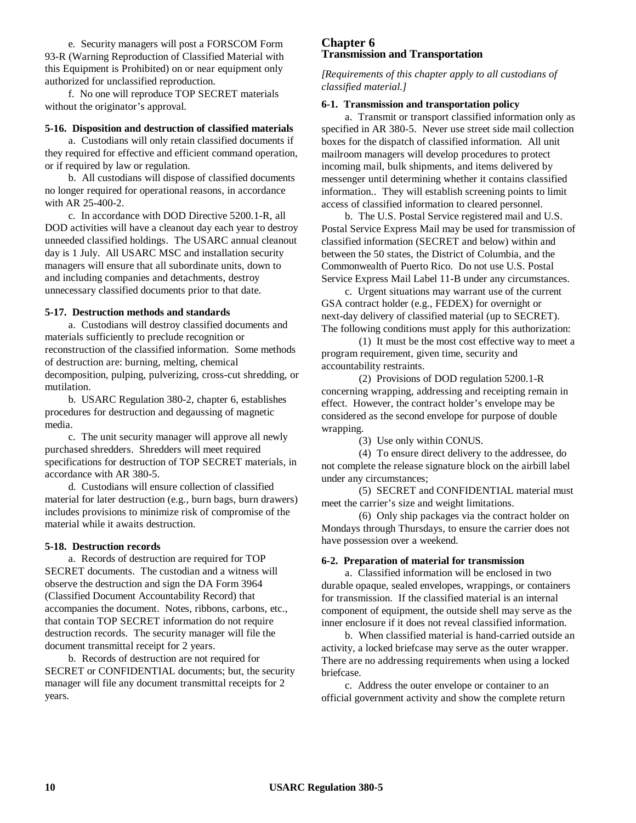e. Security managers will post a FORSCOM Form 93-R (Warning Reproduction of Classified Material with this Equipment is Prohibited) on or near equipment only authorized for unclassified reproduction.

f. No one will reproduce TOP SECRET materials without the originator's approval.

#### **5-16. Disposition and destruction of classified materials**

a. Custodians will only retain classified documents if they required for effective and efficient command operation, or if required by law or regulation.

b. All custodians will dispose of classified documents no longer required for operational reasons, in accordance with AR 25-400-2.

c. In accordance with DOD Directive 5200.1-R, all DOD activities will have a cleanout day each year to destroy unneeded classified holdings. The USARC annual cleanout day is 1 July. All USARC MSC and installation security managers will ensure that all subordinate units, down to and including companies and detachments, destroy unnecessary classified documents prior to that date.

#### **5-17. Destruction methods and standards**

a. Custodians will destroy classified documents and materials sufficiently to preclude recognition or reconstruction of the classified information. Some methods of destruction are: burning, melting, chemical decomposition, pulping, pulverizing, cross-cut shredding, or mutilation.

b. USARC Regulation 380-2, chapter 6, establishes procedures for destruction and degaussing of magnetic media.

c. The unit security manager will approve all newly purchased shredders. Shredders will meet required specifications for destruction of TOP SECRET materials, in accordance with AR 380-5.

d. Custodians will ensure collection of classified material for later destruction (e.g., burn bags, burn drawers) includes provisions to minimize risk of compromise of the material while it awaits destruction.

#### **5-18. Destruction records**

a. Records of destruction are required for TOP SECRET documents. The custodian and a witness will observe the destruction and sign the DA Form 3964 (Classified Document Accountability Record) that accompanies the document. Notes, ribbons, carbons, etc., that contain TOP SECRET information do not require destruction records. The security manager will file the document transmittal receipt for 2 years.

b. Records of destruction are not required for SECRET or CONFIDENTIAL documents; but, the security manager will file any document transmittal receipts for 2 years.

### **Chapter 6 Transmission and Transportation**

*[Requirements of this chapter apply to all custodians of classified material.]*

#### **6-1. Transmission and transportation policy**

a. Transmit or transport classified information only as specified in AR 380-5. Never use street side mail collection boxes for the dispatch of classified information. All unit mailroom managers will develop procedures to protect incoming mail, bulk shipments, and items delivered by messenger until determining whether it contains classified information.. They will establish screening points to limit access of classified information to cleared personnel.

b. The U.S. Postal Service registered mail and U.S. Postal Service Express Mail may be used for transmission of classified information (SECRET and below) within and between the 50 states, the District of Columbia, and the Commonwealth of Puerto Rico. Do not use U.S. Postal Service Express Mail Label 11-B under any circumstances.

c. Urgent situations may warrant use of the current GSA contract holder (e.g., FEDEX) for overnight or next-day delivery of classified material (up to SECRET). The following conditions must apply for this authorization:

(1) It must be the most cost effective way to meet a program requirement, given time, security and accountability restraints.

(2) Provisions of DOD regulation 5200.1-R concerning wrapping, addressing and receipting remain in effect. However, the contract holder's envelope may be considered as the second envelope for purpose of double wrapping.

(3) Use only within CONUS.

(4) To ensure direct delivery to the addressee, do not complete the release signature block on the airbill label under any circumstances;

(5) SECRET and CONFIDENTIAL material must meet the carrier's size and weight limitations.

(6) Only ship packages via the contract holder on Mondays through Thursdays, to ensure the carrier does not have possession over a weekend.

#### **6-2. Preparation of material for transmission**

a. Classified information will be enclosed in two durable opaque, sealed envelopes, wrappings, or containers for transmission. If the classified material is an internal component of equipment, the outside shell may serve as the inner enclosure if it does not reveal classified information.

b. When classified material is hand-carried outside an activity, a locked briefcase may serve as the outer wrapper. There are no addressing requirements when using a locked briefcase.

c. Address the outer envelope or container to an official government activity and show the complete return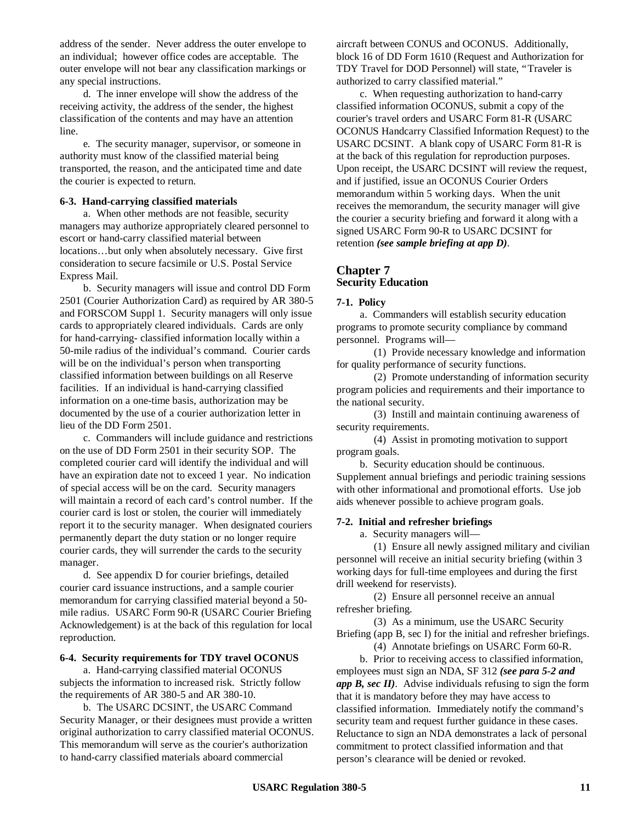address of the sender. Never address the outer envelope to an individual; however office codes are acceptable. The outer envelope will not bear any classification markings or any special instructions.

d. The inner envelope will show the address of the receiving activity, the address of the sender, the highest classification of the contents and may have an attention line.

e. The security manager, supervisor, or someone in authority must know of the classified material being transported, the reason, and the anticipated time and date the courier is expected to return.

#### **6-3. Hand-carrying classified materials**

a. When other methods are not feasible, security managers may authorize appropriately cleared personnel to escort or hand-carry classified material between locations… but only when absolutely necessary. Give first consideration to secure facsimile or U.S. Postal Service Express Mail.

b. Security managers will issue and control DD Form 2501 (Courier Authorization Card) as required by AR 380-5 and FORSCOM Suppl 1. Security managers will only issue cards to appropriately cleared individuals. Cards are only for hand-carrying- classified information locally within a 50-mile radius of the individual's command. Courier cards will be on the individual's person when transporting classified information between buildings on all Reserve facilities. If an individual is hand-carrying classified information on a one-time basis, authorization may be documented by the use of a courier authorization letter in lieu of the DD Form 2501.

c. Commanders will include guidance and restrictions on the use of DD Form 2501 in their security SOP. The completed courier card will identify the individual and will have an expiration date not to exceed 1 year. No indication of special access will be on the card. Security managers will maintain a record of each card's control number. If the courier card is lost or stolen, the courier will immediately report it to the security manager. When designated couriers permanently depart the duty station or no longer require courier cards, they will surrender the cards to the security manager.

d. See appendix D for courier briefings, detailed courier card issuance instructions, and a sample courier memorandum for carrying classified material beyond a 50 mile radius. USARC Form 90-R (USARC Courier Briefing Acknowledgement) is at the back of this regulation for local reproduction.

#### **6-4. Security requirements for TDY travel OCONUS**

a. Hand-carrying classified material OCONUS subjects the information to increased risk. Strictly follow the requirements of AR 380-5 and AR 380-10.

b. The USARC DCSINT, the USARC Command Security Manager, or their designees must provide a written original authorization to carry classified material OCONUS. This memorandum will serve as the courier's authorization to hand-carry classified materials aboard commercial

aircraft between CONUS and OCONUS. Additionally, block 16 of DD Form 1610 (Request and Authorization for TDY Travel for DOD Personnel) will state, "Traveler is authorized to carry classified material."

c. When requesting authorization to hand-carry classified information OCONUS, submit a copy of the courier's travel orders and USARC Form 81-R (USARC OCONUS Handcarry Classified Information Request) to the USARC DCSINT. A blank copy of USARC Form 81-R is at the back of this regulation for reproduction purposes. Upon receipt, the USARC DCSINT will review the request, and if justified, issue an OCONUS Courier Orders memorandum within 5 working days. When the unit receives the memorandum, the security manager will give the courier a security briefing and forward it along with a signed USARC Form 90-R to USARC DCSINT for retention *(see sample briefing at app D)*.

### **Chapter 7 Security Education**

#### **7-1. Policy**

a. Commanders will establish security education programs to promote security compliance by command personnel. Programs will—

(1) Provide necessary knowledge and information for quality performance of security functions.

(2) Promote understanding of information security program policies and requirements and their importance to the national security.

(3) Instill and maintain continuing awareness of security requirements.

(4) Assist in promoting motivation to support program goals.

b. Security education should be continuous. Supplement annual briefings and periodic training sessions with other informational and promotional efforts. Use job aids whenever possible to achieve program goals.

#### **7-2. Initial and refresher briefings**

a. Security managers will—

(1) Ensure all newly assigned military and civilian personnel will receive an initial security briefing (within 3 working days for full-time employees and during the first drill weekend for reservists).

(2) Ensure all personnel receive an annual refresher briefing.

(3) As a minimum, use the USARC Security Briefing (app B, sec I) for the initial and refresher briefings.

(4) Annotate briefings on USARC Form 60-R.

b. Prior to receiving access to classified information, employees must sign an NDA, SF 312 *(see para 5-2 and app B, sec II)*. Advise individuals refusing to sign the form that it is mandatory before they may have access to classified information. Immediately notify the command's security team and request further guidance in these cases. Reluctance to sign an NDA demonstrates a lack of personal commitment to protect classified information and that person's clearance will be denied or revoked.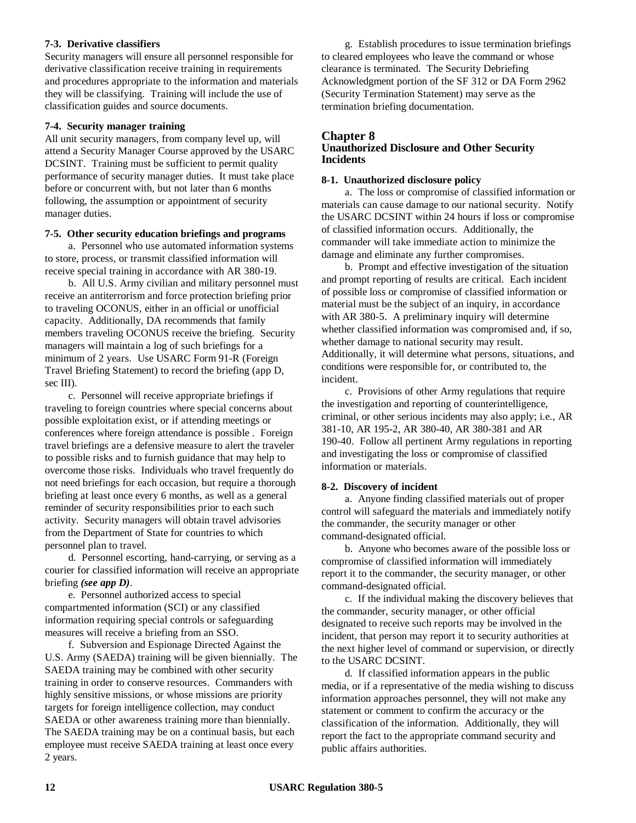### **7-3. Derivative classifiers**

Security managers will ensure all personnel responsible for derivative classification receive training in requirements and procedures appropriate to the information and materials they will be classifying. Training will include the use of classification guides and source documents.

### **7-4. Security manager training**

All unit security managers, from company level up, will attend a Security Manager Course approved by the USARC DCSINT. Training must be sufficient to permit quality performance of security manager duties. It must take place before or concurrent with, but not later than 6 months following, the assumption or appointment of security manager duties.

### **7-5. Other security education briefings and programs**

a. Personnel who use automated information systems to store, process, or transmit classified information will receive special training in accordance with AR 380-19.

b. All U.S. Army civilian and military personnel must receive an antiterrorism and force protection briefing prior to traveling OCONUS, either in an official or unofficial capacity. Additionally, DA recommends that family members traveling OCONUS receive the briefing. Security managers will maintain a log of such briefings for a minimum of 2 years. Use USARC Form 91-R (Foreign Travel Briefing Statement) to record the briefing (app D, sec III).

c. Personnel will receive appropriate briefings if traveling to foreign countries where special concerns about possible exploitation exist, or if attending meetings or conferences where foreign attendance is possible . Foreign travel briefings are a defensive measure to alert the traveler to possible risks and to furnish guidance that may help to overcome those risks. Individuals who travel frequently do not need briefings for each occasion, but require a thorough briefing at least once every 6 months, as well as a general reminder of security responsibilities prior to each such activity. Security managers will obtain travel advisories from the Department of State for countries to which personnel plan to travel.

d. Personnel escorting, hand-carrying, or serving as a courier for classified information will receive an appropriate briefing *(see app D)*.

e. Personnel authorized access to special compartmented information (SCI) or any classified information requiring special controls or safeguarding measures will receive a briefing from an SSO.

f. Subversion and Espionage Directed Against the U.S. Army (SAEDA) training will be given biennially. The SAEDA training may be combined with other security training in order to conserve resources. Commanders with highly sensitive missions, or whose missions are priority targets for foreign intelligence collection, may conduct SAEDA or other awareness training more than biennially. The SAEDA training may be on a continual basis, but each employee must receive SAEDA training at least once every 2 years.

g. Establish procedures to issue termination briefings to cleared employees who leave the command or whose clearance is terminated. The Security Debriefing Acknowledgment portion of the SF 312 or DA Form 2962 (Security Termination Statement) may serve as the termination briefing documentation.

# **Chapter 8**

# **Unauthorized Disclosure and Other Security Incidents**

# **8-1. Unauthorized disclosure policy**

a. The loss or compromise of classified information or materials can cause damage to our national security. Notify the USARC DCSINT within 24 hours if loss or compromise of classified information occurs. Additionally, the commander will take immediate action to minimize the damage and eliminate any further compromises.

b. Prompt and effective investigation of the situation and prompt reporting of results are critical. Each incident of possible loss or compromise of classified information or material must be the subject of an inquiry, in accordance with AR 380-5. A preliminary inquiry will determine whether classified information was compromised and, if so, whether damage to national security may result. Additionally, it will determine what persons, situations, and conditions were responsible for, or contributed to, the incident.

c. Provisions of other Army regulations that require the investigation and reporting of counterintelligence, criminal, or other serious incidents may also apply; i.e., AR 381-10, AR 195-2, AR 380-40, AR 380-381 and AR 190-40. Follow all pertinent Army regulations in reporting and investigating the loss or compromise of classified information or materials.

# **8-2. Discovery of incident**

a. Anyone finding classified materials out of proper control will safeguard the materials and immediately notify the commander, the security manager or other command-designated official.

b. Anyone who becomes aware of the possible loss or compromise of classified information will immediately report it to the commander, the security manager, or other command-designated official.

c. If the individual making the discovery believes that the commander, security manager, or other official designated to receive such reports may be involved in the incident, that person may report it to security authorities at the next higher level of command or supervision, or directly to the USARC DCSINT.

d. If classified information appears in the public media, or if a representative of the media wishing to discuss information approaches personnel, they will not make any statement or comment to confirm the accuracy or the classification of the information. Additionally, they will report the fact to the appropriate command security and public affairs authorities.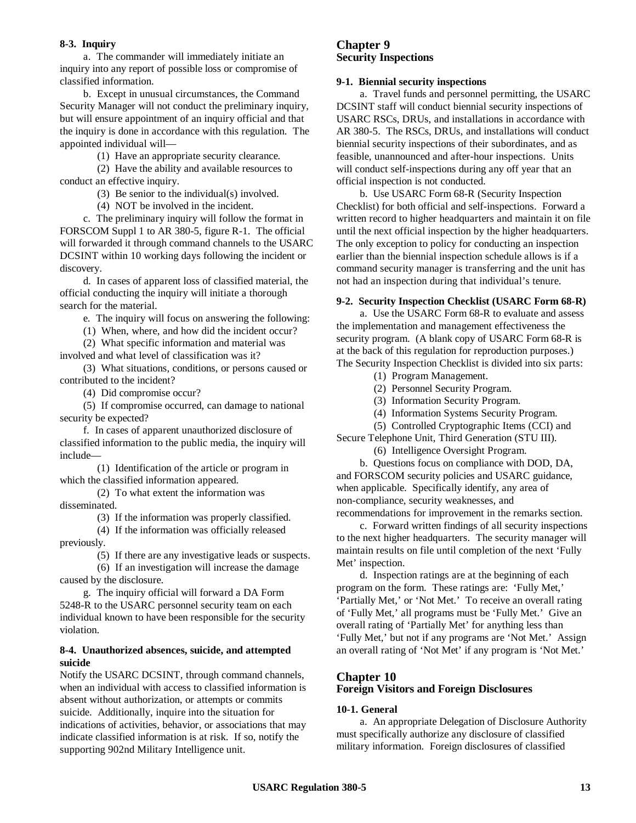### **8-3. Inquiry**

a. The commander will immediately initiate an inquiry into any report of possible loss or compromise of classified information.

b. Except in unusual circumstances, the Command Security Manager will not conduct the preliminary inquiry, but will ensure appointment of an inquiry official and that the inquiry is done in accordance with this regulation. The appointed individual will—

(1) Have an appropriate security clearance.

(2) Have the ability and available resources to conduct an effective inquiry.

(3) Be senior to the individual(s) involved.

(4) NOT be involved in the incident.

c. The preliminary inquiry will follow the format in FORSCOM Suppl 1 to AR 380-5, figure R-1. The official will forwarded it through command channels to the USARC DCSINT within 10 working days following the incident or discovery.

d. In cases of apparent loss of classified material, the official conducting the inquiry will initiate a thorough search for the material.

e. The inquiry will focus on answering the following:

(1) When, where, and how did the incident occur?

(2) What specific information and material was involved and what level of classification was it?

(3) What situations, conditions, or persons caused or contributed to the incident?

(4) Did compromise occur?

(5) If compromise occurred, can damage to national security be expected?

f. In cases of apparent unauthorized disclosure of classified information to the public media, the inquiry will include—

(1) Identification of the article or program in which the classified information appeared.

(2) To what extent the information was disseminated.

(3) If the information was properly classified.

(4) If the information was officially released previously.

(5) If there are any investigative leads or suspects.

(6) If an investigation will increase the damage caused by the disclosure.

g. The inquiry official will forward a DA Form 5248-R to the USARC personnel security team on each individual known to have been responsible for the security violation.

#### **8-4. Unauthorized absences, suicide, and attempted suicide**

Notify the USARC DCSINT, through command channels, when an individual with access to classified information is absent without authorization, or attempts or commits suicide. Additionally, inquire into the situation for indications of activities, behavior, or associations that may indicate classified information is at risk. If so, notify the supporting 902nd Military Intelligence unit.

### **Chapter 9 Security Inspections**

#### **9-1. Biennial security inspections**

a. Travel funds and personnel permitting, the USARC DCSINT staff will conduct biennial security inspections of USARC RSCs, DRUs, and installations in accordance with AR 380-5. The RSCs, DRUs, and installations will conduct biennial security inspections of their subordinates, and as feasible, unannounced and after-hour inspections. Units will conduct self-inspections during any off year that an official inspection is not conducted.

b. Use USARC Form 68-R (Security Inspection Checklist) for both official and self-inspections. Forward a written record to higher headquarters and maintain it on file until the next official inspection by the higher headquarters. The only exception to policy for conducting an inspection earlier than the biennial inspection schedule allows is if a command security manager is transferring and the unit has not had an inspection during that individual's tenure.

#### **9-2. Security Inspection Checklist (USARC Form 68-R)**

a. Use the USARC Form 68-R to evaluate and assess the implementation and management effectiveness the security program. (A blank copy of USARC Form 68-R is at the back of this regulation for reproduction purposes.) The Security Inspection Checklist is divided into six parts:

- (1) Program Management.
- (2) Personnel Security Program.
- (3) Information Security Program.
- (4) Information Systems Security Program.

(5) Controlled Cryptographic Items (CCI) and Secure Telephone Unit, Third Generation (STU III).

(6) Intelligence Oversight Program.

b. Questions focus on compliance with DOD, DA, and FORSCOM security policies and USARC guidance, when applicable. Specifically identify, any area of non-compliance, security weaknesses, and recommendations for improvement in the remarks section.

c. Forward written findings of all security inspections to the next higher headquarters. The security manager will maintain results on file until completion of the next 'Fully Met' inspection.

d. Inspection ratings are at the beginning of each program on the form. These ratings are: 'Fully Met,' 'Partially Met,' or 'Not Met.' To receive an overall rating of 'Fully Met,' all programs must be 'Fully Met.' Give an overall rating of 'Partially Met' for anything less than 'Fully Met,' but not if any programs are 'Not Met.' Assign an overall rating of 'Not Met' if any program is 'Not Met.'

#### **Chapter 10 Foreign Visitors and Foreign Disclosures**

#### **10-1. General**

a. An appropriate Delegation of Disclosure Authority must specifically authorize any disclosure of classified military information. Foreign disclosures of classified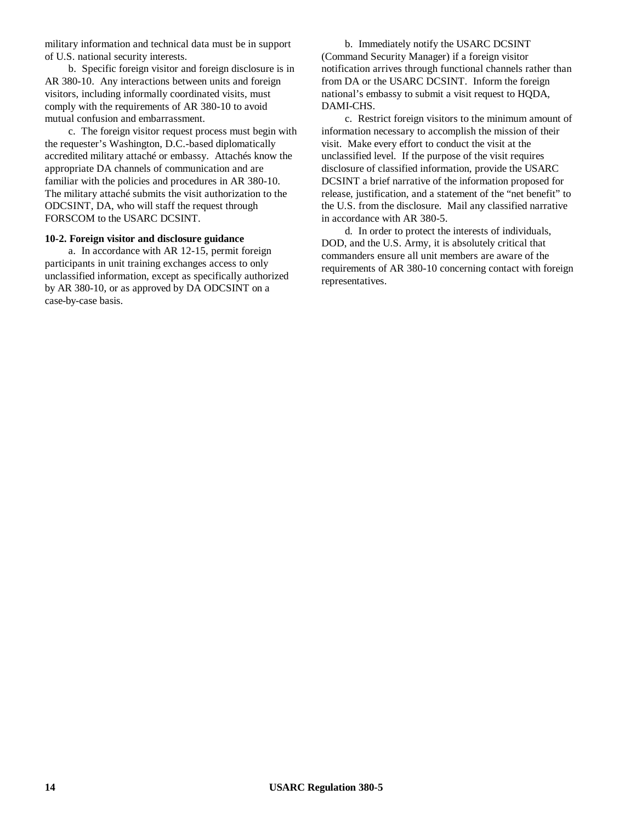military information and technical data must be in support of U.S. national security interests.

b. Specific foreign visitor and foreign disclosure is in AR 380-10. Any interactions between units and foreign visitors, including informally coordinated visits, must comply with the requirements of AR 380-10 to avoid mutual confusion and embarrassment.

c. The foreign visitor request process must begin with the requester's Washington, D.C.-based diplomatically accredited military attaché or embassy. Attachés know the appropriate DA channels of communication and are familiar with the policies and procedures in AR 380-10. The military attaché submits the visit authorization to the ODCSINT, DA, who will staff the request through FORSCOM to the USARC DCSINT.

### **10-2. Foreign visitor and disclosure guidance**

a. In accordance with AR 12-15, permit foreign participants in unit training exchanges access to only unclassified information, except as specifically authorized by AR 380-10, or as approved by DA ODCSINT on a case-by-case basis.

b. Immediately notify the USARC DCSINT (Command Security Manager) if a foreign visitor notification arrives through functional channels rather than from DA or the USARC DCSINT. Inform the foreign national's embassy to submit a visit request to HQDA, DAMI-CHS.

c. Restrict foreign visitors to the minimum amount of information necessary to accomplish the mission of their visit. Make every effort to conduct the visit at the unclassified level. If the purpose of the visit requires disclosure of classified information, provide the USARC DCSINT a brief narrative of the information proposed for release, justification, and a statement of the "net benefit" to the U.S. from the disclosure. Mail any classified narrative in accordance with AR 380-5.

d. In order to protect the interests of individuals, DOD, and the U.S. Army, it is absolutely critical that commanders ensure all unit members are aware of the requirements of AR 380-10 concerning contact with foreign representatives.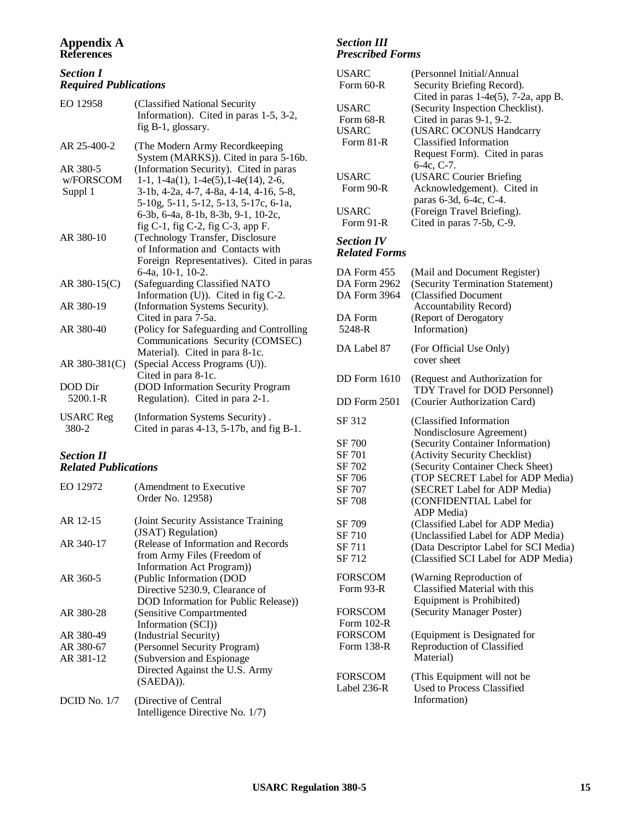### **Appendix A References**

## *Section I Required Publications*

| EO 12958                         | (Classified National Security<br>Information). Cited in paras 1-5, 3-2,<br>fig B-1, glossary.                                                                                                                                                                           |
|----------------------------------|-------------------------------------------------------------------------------------------------------------------------------------------------------------------------------------------------------------------------------------------------------------------------|
| AR 25-400-2                      | (The Modern Army Recordkeeping<br>System (MARKS)). Cited in para 5-16b.                                                                                                                                                                                                 |
| AR 380-5<br>w/FORSCOM<br>Suppl 1 | (Information Security). Cited in paras<br>$1-1$ , $1-4a(1)$ , $1-4e(5)$ , $1-4e(14)$ , $2-6$ ,<br>3-1b, 4-2a, 4-7, 4-8a, 4-14, 4-16, 5-8,<br>5-10g, 5-11, 5-12, 5-13, 5-17c, 6-1a,<br>6-3b, 6-4a, 8-1b, 8-3b, 9-1, 10-2c,<br>fig $C-1$ , fig $C-2$ , fig $C-3$ , app F. |
| AR 380-10                        | (Technology Transfer, Disclosure<br>of Information and Contacts with<br>Foreign Representatives). Cited in paras<br>6-4a, 10-1, 10-2.                                                                                                                                   |
| AR 380-15 $(C)$                  | (Safeguarding Classified NATO<br>Information (U)). Cited in fig C-2.                                                                                                                                                                                                    |
| AR 380-19                        | (Information Systems Security).<br>Cited in para 7-5a.                                                                                                                                                                                                                  |
| AR 380-40                        | (Policy for Safeguarding and Controlling<br>Communications Security (COMSEC)<br>Material). Cited in para 8-1c.                                                                                                                                                          |
| AR 380-381(C)                    | (Special Access Programs (U)).<br>Cited in para 8-1c.                                                                                                                                                                                                                   |
| DOD Dir<br>$5200.1 - R$          | (DOD Information Security Program<br>Regulation). Cited in para 2-1.                                                                                                                                                                                                    |
| <b>USARC</b> Reg<br>380-2        | (Information Systems Security).<br>Cited in paras 4-13, 5-17b, and fig B-1.                                                                                                                                                                                             |

### *Section II Related Publications*

| EO 12972            | (Amendment to Executive<br>Order No. 12958)                                                         |
|---------------------|-----------------------------------------------------------------------------------------------------|
| AR 12-15            | (Joint Security Assistance Training)<br>(JSAT) Regulation)                                          |
| AR 340-17           | (Release of Information and Records)<br>from Army Files (Freedom of<br>Information Act Program)     |
| AR 360-5            | (Public Information (DOD)<br>Directive 5230.9, Clearance of<br>DOD Information for Public Release)) |
| AR 380-28           | (Sensitive Compartmented)<br>Information (SCI))                                                     |
| AR 380-49           | (Industrial Security)                                                                               |
| AR 380-67           | (Personnel Security Program)                                                                        |
| AR 381-12           | (Subversion and Espionage)<br>Directed Against the U.S. Army<br>(SAEDA)).                           |
| <b>DCID</b> No. 1/7 | (Directive of Central<br>Intelligence Directive No. 1/7)                                            |

### *Section III Prescribed Forms*

| <b>USARC</b><br>Form 60-R | (Personnel Initial/Annual<br>Security Briefing Record).           |
|---------------------------|-------------------------------------------------------------------|
|                           | Cited in paras $1-4e(5)$ , $7-2a$ , app B.                        |
| <b>USARC</b>              | (Security Inspection Checklist).                                  |
| Form 68-R                 | Cited in paras 9-1, 9-2.                                          |
| <b>USARC</b>              | (USARC OCONUS Handcarry                                           |
| Form 81-R                 | <b>Classified Information</b>                                     |
|                           | Request Form). Cited in paras<br>6-4c, C-7.                       |
| <b>USARC</b>              | (USARC Courier Briefing                                           |
| Form 90-R                 | Acknowledgement). Cited in                                        |
|                           | paras 6-3d, 6-4c, C-4.                                            |
| <b>USARC</b><br>Form 91-R | (Foreign Travel Briefing).<br>Cited in paras 7-5b, C-9.           |
| <b>Section IV</b>         |                                                                   |
| <b>Related Forms</b>      |                                                                   |
| DA Form 455               | (Mail and Document Register)                                      |
| DA Form 2962              | (Security Termination Statement)                                  |
| DA Form 3964              | (Classified Document                                              |
|                           | Accountability Record)                                            |
| DA Form                   | (Report of Derogatory                                             |
| 5248-R                    | Information)                                                      |
| DA Label 87               | (For Official Use Only)<br>cover sheet                            |
| <b>DD</b> Form 1610       | (Request and Authorization for                                    |
|                           | TDY Travel for DOD Personnel)                                     |
| <b>DD</b> Form 2501       | (Courier Authorization Card)                                      |
| SF 312                    | (Classified Information                                           |
|                           | Nondisclosure Agreement)                                          |
| SF 700                    | (Security Container Information)                                  |
| SF 701<br>SF 702          | (Activity Security Checklist)<br>(Security Container Check Sheet) |
| SF 706                    | (TOP SECRET Label for ADP Media)                                  |
| SF 707                    | (SECRET Label for ADP Media)                                      |
| SF 708                    | (CONFIDENTIAL Label for                                           |
|                           | ADP Media)                                                        |
| SF 709                    | (Classified Label for ADP Media)                                  |
| SF 710                    | (Unclassified Label for ADP Media)                                |
| SF 711                    | (Data Descriptor Label for SCI Media)                             |
| SF 712                    | (Classified SCI Label for ADP Media)                              |
| FORSCOM                   | (Warning Reproduction of                                          |
| Form 93-R                 | Classified Material with this                                     |
|                           | Equipment is Prohibited)                                          |
| FORSCOM                   | (Security Manager Poster)                                         |
| Form 102-R                |                                                                   |
| <b>FORSCOM</b>            | (Equipment is Designated for                                      |
| Form 138-R                | Reproduction of Classified<br>Material)                           |
| <b>FORSCOM</b>            | (This Equipment will not be                                       |
| Label 236-R               | Used to Process Classified                                        |
|                           | Information)                                                      |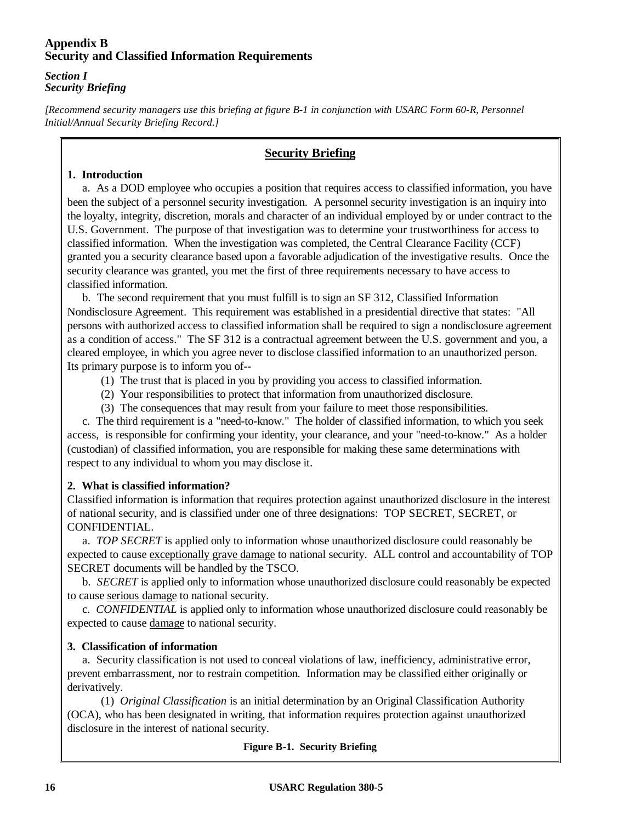# **Appendix B Security and Classified Information Requirements**

## *Section I Security Briefing*

*[Recommend security managers use this briefing at figure B-1 in conjunction with USARC Form 60-R, Personnel Initial/Annual Security Briefing Record.]*

# **Security Briefing**

# **1. Introduction**

a. As a DOD employee who occupies a position that requires access to classified information, you have been the subject of a personnel security investigation. A personnel security investigation is an inquiry into the loyalty, integrity, discretion, morals and character of an individual employed by or under contract to the U.S. Government. The purpose of that investigation was to determine your trustworthiness for access to classified information. When the investigation was completed, the Central Clearance Facility (CCF) granted you a security clearance based upon a favorable adjudication of the investigative results. Once the security clearance was granted, you met the first of three requirements necessary to have access to classified information.

b. The second requirement that you must fulfill is to sign an SF 312, Classified Information Nondisclosure Agreement. This requirement was established in a presidential directive that states: "All persons with authorized access to classified information shall be required to sign a nondisclosure agreement as a condition of access." The SF 312 is a contractual agreement between the U.S. government and you, a cleared employee, in which you agree never to disclose classified information to an unauthorized person. Its primary purpose is to inform you of--

- (1) The trust that is placed in you by providing you access to classified information.
- (2) Your responsibilities to protect that information from unauthorized disclosure.
- (3) The consequences that may result from your failure to meet those responsibilities.

c. The third requirement is a "need-to-know." The holder of classified information, to which you seek access, is responsible for confirming your identity, your clearance, and your "need-to-know." As a holder (custodian) of classified information, you are responsible for making these same determinations with respect to any individual to whom you may disclose it.

# **2. What is classified information?**

Classified information is information that requires protection against unauthorized disclosure in the interest of national security, and is classified under one of three designations: TOP SECRET, SECRET, or CONFIDENTIAL.

a. *TOP SECRET* is applied only to information whose unauthorized disclosure could reasonably be expected to cause exceptionally grave damage to national security. ALL control and accountability of TOP SECRET documents will be handled by the TSCO.

b. *SECRET* is applied only to information whose unauthorized disclosure could reasonably be expected to cause serious damage to national security.

c. *CONFIDENTIAL* is applied only to information whose unauthorized disclosure could reasonably be expected to cause damage to national security.

# **3. Classification of information**

a. Security classification is not used to conceal violations of law, inefficiency, administrative error, prevent embarrassment, nor to restrain competition. Information may be classified either originally or derivatively.

(1) *Original Classification* is an initial determination by an Original Classification Authority (OCA), who has been designated in writing, that information requires protection against unauthorized disclosure in the interest of national security.

# **Figure B-1. Security Briefing**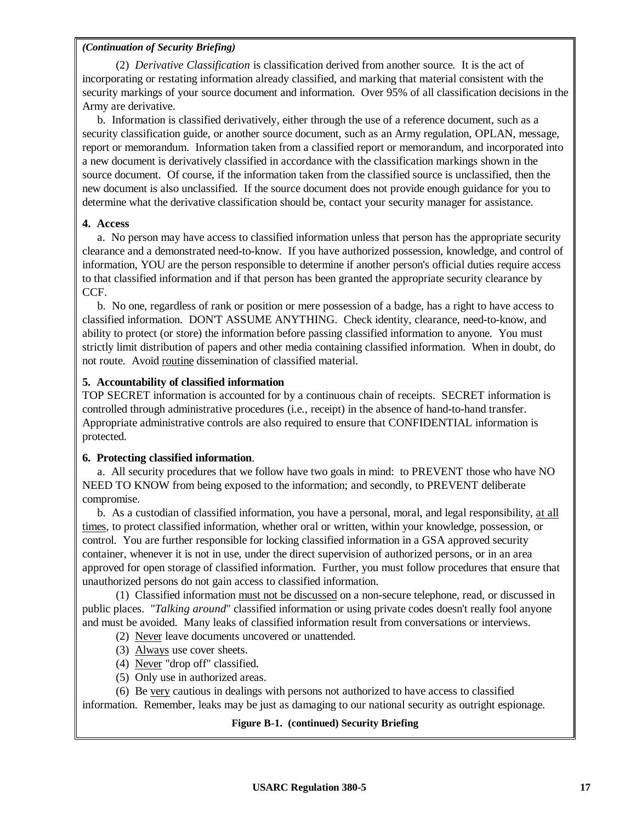(2) *Derivative Classification* is classification derived from another source. It is the act of incorporating or restating information already classified, and marking that material consistent with the security markings of your source document and information. Over 95% of all classification decisions in the Army are derivative.

b. Information is classified derivatively, either through the use of a reference document, such as a security classification guide, or another source document, such as an Army regulation, OPLAN, message, report or memorandum. Information taken from a classified report or memorandum, and incorporated into a new document is derivatively classified in accordance with the classification markings shown in the source document. Of course, if the information taken from the classified source is unclassified, then the new document is also unclassified. If the source document does not provide enough guidance for you to determine what the derivative classification should be, contact your security manager for assistance.

## **4. Access**

a. No person may have access to classified information unless that person has the appropriate security clearance and a demonstrated need-to-know. If you have authorized possession, knowledge, and control of information, YOU are the person responsible to determine if another person's official duties require access to that classified information and if that person has been granted the appropriate security clearance by CCF.

b. No one, regardless of rank or position or mere possession of a badge, has a right to have access to classified information. DON'T ASSUME ANYTHING. Check identity, clearance, need-to-know, and ability to protect (or store) the information before passing classified information to anyone. You must strictly limit distribution of papers and other media containing classified information. When in doubt, do not route. Avoid routine dissemination of classified material.

## **5. Accountability of classified information**

TOP SECRET information is accounted for by a continuous chain of receipts. SECRET information is controlled through administrative procedures (i.e., receipt) in the absence of hand-to-hand transfer. Appropriate administrative controls are also required to ensure that CONFIDENTIAL information is protected.

### **6. Protecting classified information**.

a. All security procedures that we follow have two goals in mind: to PREVENT those who have NO NEED TO KNOW from being exposed to the information; and secondly, to PREVENT deliberate compromise.

b. As a custodian of classified information, you have a personal, moral, and legal responsibility, at all times, to protect classified information, whether oral or written, within your knowledge, possession, or control. You are further responsible for locking classified information in a GSA approved security container, whenever it is not in use, under the direct supervision of authorized persons, or in an area approved for open storage of classified information. Further, you must follow procedures that ensure that unauthorized persons do not gain access to classified information.

(1) Classified information must not be discussed on a non-secure telephone, read, or discussed in public places. "*Talking around*" classified information or using private codes doesn't really fool anyone and must be avoided. Many leaks of classified information result from conversations or interviews.

- (2) Never leave documents uncovered or unattended.
- (3) Always use cover sheets.
- (4) Never "drop off" classified.
- (5) Only use in authorized areas.

(6) Be very cautious in dealings with persons not authorized to have access to classified information. Remember, leaks may be just as damaging to our national security as outright espionage.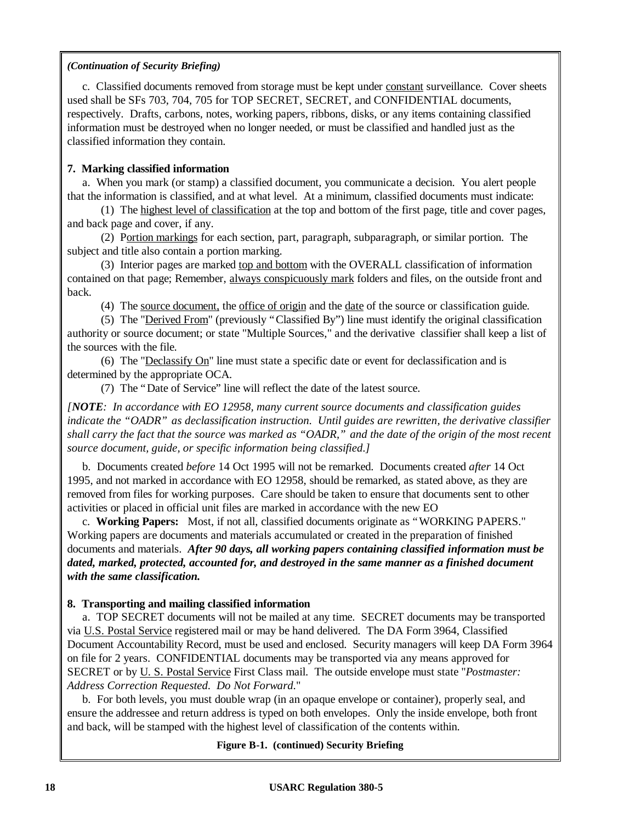c. Classified documents removed from storage must be kept under constant surveillance. Cover sheets used shall be SFs 703, 704, 705 for TOP SECRET, SECRET, and CONFIDENTIAL documents, respectively. Drafts, carbons, notes, working papers, ribbons, disks, or any items containing classified information must be destroyed when no longer needed, or must be classified and handled just as the classified information they contain.

# **7. Marking classified information**

a. When you mark (or stamp) a classified document, you communicate a decision. You alert people that the information is classified, and at what level. At a minimum, classified documents must indicate:

(1) The highest level of classification at the top and bottom of the first page, title and cover pages, and back page and cover, if any.

(2) Portion markings for each section, part, paragraph, subparagraph, or similar portion. The subject and title also contain a portion marking.

(3) Interior pages are marked top and bottom with the OVERALL classification of information contained on that page; Remember, always conspicuously mark folders and files, on the outside front and back.

(4) The source document, the office of origin and the date of the source or classification guide.

(5) The "Derived From" (previously "Classified By") line must identify the original classification authority or source document; or state "Multiple Sources," and the derivative classifier shall keep a list of the sources with the file.

(6) The "Declassify On" line must state a specific date or event for declassification and is determined by the appropriate OCA.

(7) The "Date of Service" line will reflect the date of the latest source.

*[NOTE: In accordance with EO 12958, many current source documents and classification guides indicate the "OADR" as declassification instruction. Until guides are rewritten, the derivative classifier shall carry the fact that the source was marked as "OADR," and the date of the origin of the most recent source document, guide, or specific information being classified.]*

b. Documents created *before* 14 Oct 1995 will not be remarked. Documents created *after* 14 Oct 1995, and not marked in accordance with EO 12958, should be remarked, as stated above, as they are removed from files for working purposes. Care should be taken to ensure that documents sent to other activities or placed in official unit files are marked in accordance with the new EO

c. **Working Papers:** Most, if not all, classified documents originate as "WORKING PAPERS." Working papers are documents and materials accumulated or created in the preparation of finished documents and materials. *After 90 days, all working papers containing classified information must be dated, marked, protected, accounted for, and destroyed in the same manner as a finished document with the same classification.*

# **8. Transporting and mailing classified information**

a. TOP SECRET documents will not be mailed at any time. SECRET documents may be transported via U.S. Postal Service registered mail or may be hand delivered. The DA Form 3964, Classified Document Accountability Record, must be used and enclosed. Security managers will keep DA Form 3964 on file for 2 years. CONFIDENTIAL documents may be transported via any means approved for SECRET or by U. S. Postal Service First Class mail. The outside envelope must state "*Postmaster: Address Correction Requested. Do Not Forward.*"

b. For both levels, you must double wrap (in an opaque envelope or container), properly seal, and ensure the addressee and return address is typed on both envelopes. Only the inside envelope, both front and back, will be stamped with the highest level of classification of the contents within.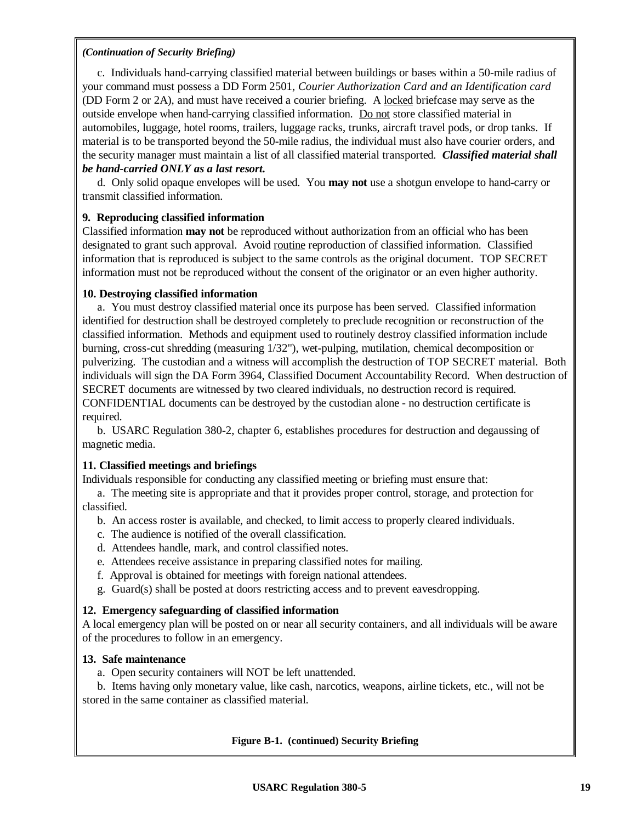c. Individuals hand-carrying classified material between buildings or bases within a 50-mile radius of your command must possess a DD Form 2501, *Courier Authorization Card and an Identification card* (DD Form 2 or 2A), and must have received a courier briefing. A locked briefcase may serve as the outside envelope when hand-carrying classified information. Do not store classified material in automobiles, luggage, hotel rooms, trailers, luggage racks, trunks, aircraft travel pods, or drop tanks. If material is to be transported beyond the 50-mile radius, the individual must also have courier orders, and the security manager must maintain a list of all classified material transported. *Classified material shall be hand-carried ONLY as a last resort.*

d. Only solid opaque envelopes will be used. You **may not** use a shotgun envelope to hand-carry or transmit classified information.

# **9. Reproducing classified information**

Classified information **may not** be reproduced without authorization from an official who has been designated to grant such approval. Avoid routine reproduction of classified information. Classified information that is reproduced is subject to the same controls as the original document. TOP SECRET information must not be reproduced without the consent of the originator or an even higher authority.

### **10. Destroying classified information**

a. You must destroy classified material once its purpose has been served. Classified information identified for destruction shall be destroyed completely to preclude recognition or reconstruction of the classified information. Methods and equipment used to routinely destroy classified information include burning, cross-cut shredding (measuring 1/32"), wet-pulping, mutilation, chemical decomposition or pulverizing. The custodian and a witness will accomplish the destruction of TOP SECRET material. Both individuals will sign the DA Form 3964, Classified Document Accountability Record. When destruction of SECRET documents are witnessed by two cleared individuals, no destruction record is required. CONFIDENTIAL documents can be destroyed by the custodian alone - no destruction certificate is required.

b. USARC Regulation 380-2, chapter 6, establishes procedures for destruction and degaussing of magnetic media.

# **11. Classified meetings and briefings**

Individuals responsible for conducting any classified meeting or briefing must ensure that:

a. The meeting site is appropriate and that it provides proper control, storage, and protection for classified.

- b. An access roster is available, and checked, to limit access to properly cleared individuals.
- c. The audience is notified of the overall classification.
- d. Attendees handle, mark, and control classified notes.
- e. Attendees receive assistance in preparing classified notes for mailing.
- f. Approval is obtained for meetings with foreign national attendees.
- g. Guard(s) shall be posted at doors restricting access and to prevent eavesdropping.

# **12. Emergency safeguarding of classified information**

A local emergency plan will be posted on or near all security containers, and all individuals will be aware of the procedures to follow in an emergency.

### **13. Safe maintenance**

a. Open security containers will NOT be left unattended.

b. Items having only monetary value, like cash, narcotics, weapons, airline tickets, etc., will not be stored in the same container as classified material.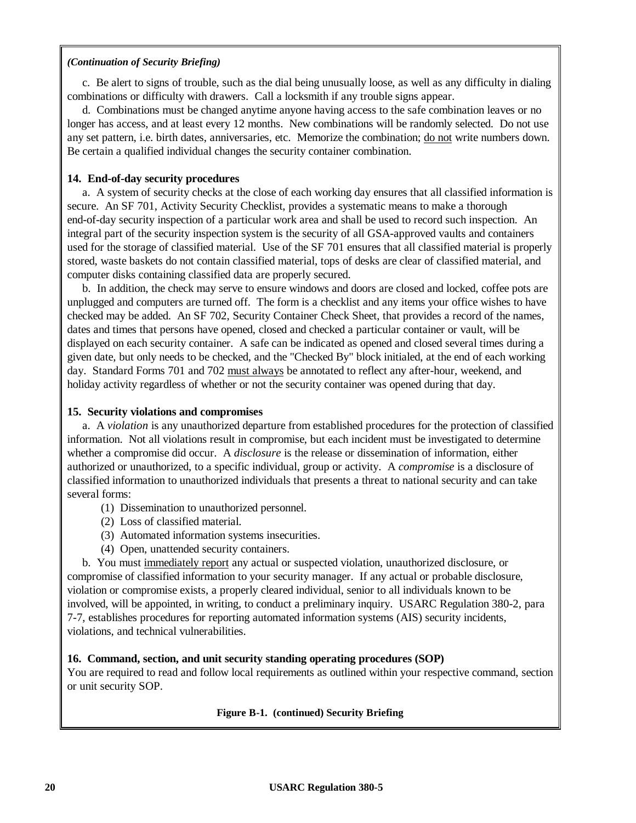c. Be alert to signs of trouble, such as the dial being unusually loose, as well as any difficulty in dialing combinations or difficulty with drawers. Call a locksmith if any trouble signs appear.

d. Combinations must be changed anytime anyone having access to the safe combination leaves or no longer has access, and at least every 12 months. New combinations will be randomly selected. Do not use any set pattern, i.e. birth dates, anniversaries, etc. Memorize the combination; do not write numbers down. Be certain a qualified individual changes the security container combination.

## **14. End-of-day security procedures**

a. A system of security checks at the close of each working day ensures that all classified information is secure. An SF 701, Activity Security Checklist, provides a systematic means to make a thorough end-of-day security inspection of a particular work area and shall be used to record such inspection. An integral part of the security inspection system is the security of all GSA-approved vaults and containers used for the storage of classified material. Use of the SF 701 ensures that all classified material is properly stored, waste baskets do not contain classified material, tops of desks are clear of classified material, and computer disks containing classified data are properly secured.

b. In addition, the check may serve to ensure windows and doors are closed and locked, coffee pots are unplugged and computers are turned off. The form is a checklist and any items your office wishes to have checked may be added. An SF 702, Security Container Check Sheet, that provides a record of the names, dates and times that persons have opened, closed and checked a particular container or vault, will be displayed on each security container. A safe can be indicated as opened and closed several times during a given date, but only needs to be checked, and the "Checked By" block initialed, at the end of each working day. Standard Forms 701 and 702 must always be annotated to reflect any after-hour, weekend, and holiday activity regardless of whether or not the security container was opened during that day.

## **15. Security violations and compromises**

a. A *violation* is any unauthorized departure from established procedures for the protection of classified information. Not all violations result in compromise, but each incident must be investigated to determine whether a compromise did occur. A *disclosure* is the release or dissemination of information, either authorized or unauthorized, to a specific individual, group or activity. A *compromise* is a disclosure of classified information to unauthorized individuals that presents a threat to national security and can take several forms:

- (1) Dissemination to unauthorized personnel.
- (2) Loss of classified material.
- (3) Automated information systems insecurities.
- (4) Open, unattended security containers.

b. You must immediately report any actual or suspected violation, unauthorized disclosure, or compromise of classified information to your security manager. If any actual or probable disclosure, violation or compromise exists, a properly cleared individual, senior to all individuals known to be involved, will be appointed, in writing, to conduct a preliminary inquiry. USARC Regulation 380-2, para 7-7, establishes procedures for reporting automated information systems (AIS) security incidents, violations, and technical vulnerabilities.

# **16. Command, section, and unit security standing operating procedures (SOP)**

You are required to read and follow local requirements as outlined within your respective command, section or unit security SOP.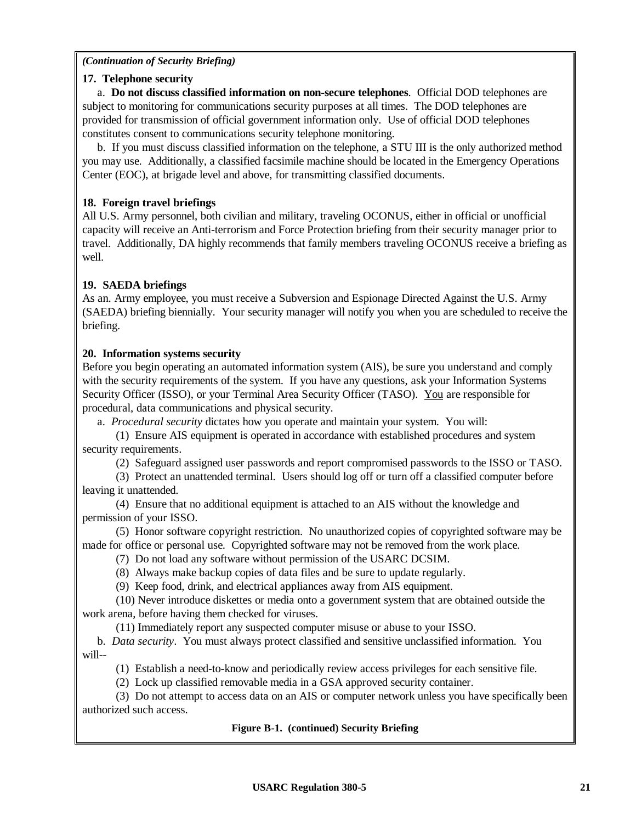### **17. Telephone security**

a. **Do not discuss classified information on non-secure telephones**. Official DOD telephones are subject to monitoring for communications security purposes at all times. The DOD telephones are provided for transmission of official government information only. Use of official DOD telephones constitutes consent to communications security telephone monitoring.

b. If you must discuss classified information on the telephone, a STU III is the only authorized method you may use. Additionally, a classified facsimile machine should be located in the Emergency Operations Center (EOC), at brigade level and above, for transmitting classified documents.

# **18. Foreign travel briefings**

All U.S. Army personnel, both civilian and military, traveling OCONUS, either in official or unofficial capacity will receive an Anti-terrorism and Force Protection briefing from their security manager prior to travel. Additionally, DA highly recommends that family members traveling OCONUS receive a briefing as well.

# **19. SAEDA briefings**

As an. Army employee, you must receive a Subversion and Espionage Directed Against the U.S. Army (SAEDA) briefing biennially. Your security manager will notify you when you are scheduled to receive the briefing.

## **20. Information systems security**

Before you begin operating an automated information system (AIS), be sure you understand and comply with the security requirements of the system. If you have any questions, ask your Information Systems Security Officer (ISSO), or your Terminal Area Security Officer (TASO). You are responsible for procedural, data communications and physical security.

a. *Procedural security* dictates how you operate and maintain your system. You will:

(1) Ensure AIS equipment is operated in accordance with established procedures and system security requirements.

(2) Safeguard assigned user passwords and report compromised passwords to the ISSO or TASO.

(3) Protect an unattended terminal. Users should log off or turn off a classified computer before leaving it unattended.

(4) Ensure that no additional equipment is attached to an AIS without the knowledge and permission of your ISSO.

(5) Honor software copyright restriction. No unauthorized copies of copyrighted software may be made for office or personal use. Copyrighted software may not be removed from the work place.

(7) Do not load any software without permission of the USARC DCSIM.

(8) Always make backup copies of data files and be sure to update regularly.

(9) Keep food, drink, and electrical appliances away from AIS equipment.

(10) Never introduce diskettes or media onto a government system that are obtained outside the work arena, before having them checked for viruses.

(11) Immediately report any suspected computer misuse or abuse to your ISSO.

b. *Data security*. You must always protect classified and sensitive unclassified information. You will--

(1) Establish a need-to-know and periodically review access privileges for each sensitive file.

(2) Lock up classified removable media in a GSA approved security container.

(3) Do not attempt to access data on an AIS or computer network unless you have specifically been authorized such access.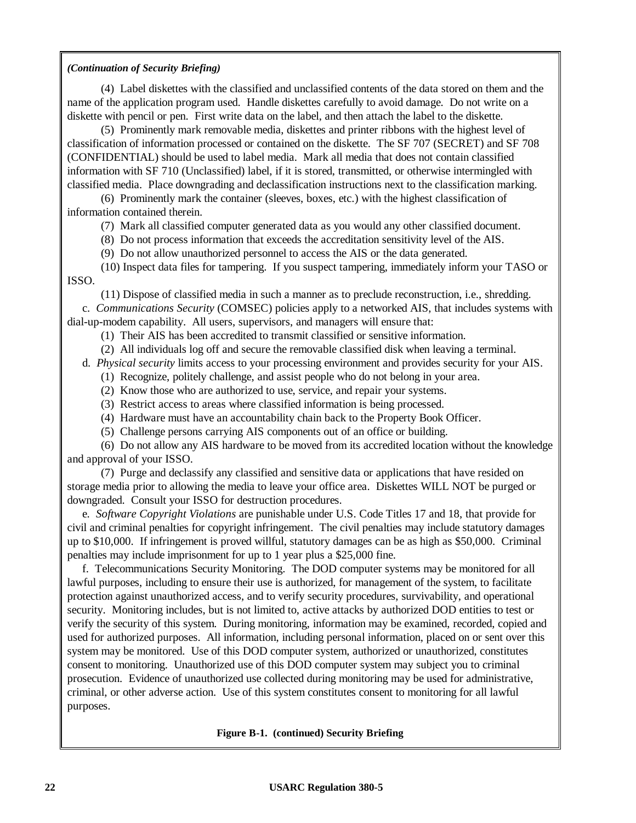(4) Label diskettes with the classified and unclassified contents of the data stored on them and the name of the application program used. Handle diskettes carefully to avoid damage. Do not write on a diskette with pencil or pen. First write data on the label, and then attach the label to the diskette.

(5) Prominently mark removable media, diskettes and printer ribbons with the highest level of classification of information processed or contained on the diskette. The SF 707 (SECRET) and SF 708 (CONFIDENTIAL) should be used to label media. Mark all media that does not contain classified information with SF 710 (Unclassified) label, if it is stored, transmitted, or otherwise intermingled with classified media. Place downgrading and declassification instructions next to the classification marking.

(6) Prominently mark the container (sleeves, boxes, etc.) with the highest classification of information contained therein.

(7) Mark all classified computer generated data as you would any other classified document.

(8) Do not process information that exceeds the accreditation sensitivity level of the AIS.

(9) Do not allow unauthorized personnel to access the AIS or the data generated.

(10) Inspect data files for tampering. If you suspect tampering, immediately inform your TASO or ISSO.

(11) Dispose of classified media in such a manner as to preclude reconstruction, i.e., shredding. c. *Communications Security* (COMSEC) policies apply to a networked AIS, that includes systems with dial-up-modem capability. All users, supervisors, and managers will ensure that:

(1) Their AIS has been accredited to transmit classified or sensitive information.

(2) All individuals log off and secure the removable classified disk when leaving a terminal.

d. *Physical security* limits access to your processing environment and provides security for your AIS.

- (1) Recognize, politely challenge, and assist people who do not belong in your area.
- (2) Know those who are authorized to use, service, and repair your systems.
- (3) Restrict access to areas where classified information is being processed.
- (4) Hardware must have an accountability chain back to the Property Book Officer.
- (5) Challenge persons carrying AIS components out of an office or building.

(6) Do not allow any AIS hardware to be moved from its accredited location without the knowledge and approval of your ISSO.

(7) Purge and declassify any classified and sensitive data or applications that have resided on storage media prior to allowing the media to leave your office area. Diskettes WILL NOT be purged or downgraded. Consult your ISSO for destruction procedures.

e. *Software Copyright Violations* are punishable under U.S. Code Titles 17 and 18, that provide for civil and criminal penalties for copyright infringement. The civil penalties may include statutory damages up to \$10,000. If infringement is proved willful, statutory damages can be as high as \$50,000. Criminal penalties may include imprisonment for up to 1 year plus a \$25,000 fine.

f. Telecommunications Security Monitoring. The DOD computer systems may be monitored for all lawful purposes, including to ensure their use is authorized, for management of the system, to facilitate protection against unauthorized access, and to verify security procedures, survivability, and operational security. Monitoring includes, but is not limited to, active attacks by authorized DOD entities to test or verify the security of this system. During monitoring, information may be examined, recorded, copied and used for authorized purposes. All information, including personal information, placed on or sent over this system may be monitored. Use of this DOD computer system, authorized or unauthorized, constitutes consent to monitoring. Unauthorized use of this DOD computer system may subject you to criminal prosecution. Evidence of unauthorized use collected during monitoring may be used for administrative, criminal, or other adverse action. Use of this system constitutes consent to monitoring for all lawful purposes.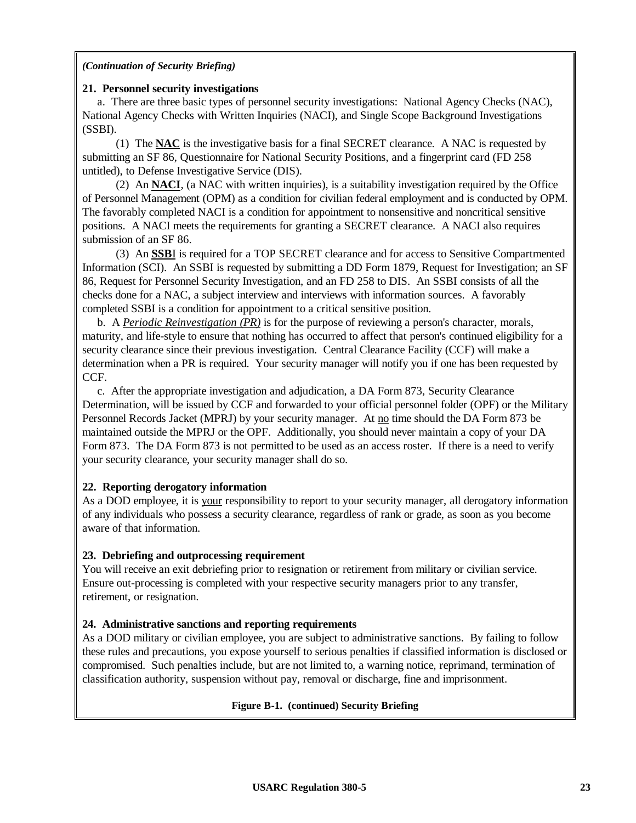### **21. Personnel security investigations**

a. There are three basic types of personnel security investigations: National Agency Checks (NAC), National Agency Checks with Written Inquiries (NACI), and Single Scope Background Investigations (SSBI).

(1) The **NAC** is the investigative basis for a final SECRET clearance. A NAC is requested by submitting an SF 86, Questionnaire for National Security Positions, and a fingerprint card (FD 258 untitled), to Defense Investigative Service (DIS).

(2) An **NACI**, (a NAC with written inquiries), is a suitability investigation required by the Office of Personnel Management (OPM) as a condition for civilian federal employment and is conducted by OPM. The favorably completed NACI is a condition for appointment to nonsensitive and noncritical sensitive positions. A NACI meets the requirements for granting a SECRET clearance. A NACI also requires submission of an SF 86.

(3) An **SSB**I is required for a TOP SECRET clearance and for access to Sensitive Compartmented Information (SCI). An SSBI is requested by submitting a DD Form 1879, Request for Investigation; an SF 86, Request for Personnel Security Investigation, and an FD 258 to DIS. An SSBI consists of all the checks done for a NAC, a subject interview and interviews with information sources. A favorably completed SSBI is a condition for appointment to a critical sensitive position.

b. A *Periodic Reinvestigation (PR)* is for the purpose of reviewing a person's character, morals, maturity, and life-style to ensure that nothing has occurred to affect that person's continued eligibility for a security clearance since their previous investigation. Central Clearance Facility (CCF) will make a determination when a PR is required. Your security manager will notify you if one has been requested by CCF.

c. After the appropriate investigation and adjudication, a DA Form 873, Security Clearance Determination, will be issued by CCF and forwarded to your official personnel folder (OPF) or the Military Personnel Records Jacket (MPRJ) by your security manager. At no time should the DA Form 873 be maintained outside the MPRJ or the OPF. Additionally, you should never maintain a copy of your DA Form 873. The DA Form 873 is not permitted to be used as an access roster. If there is a need to verify your security clearance, your security manager shall do so.

# **22. Reporting derogatory information**

As a DOD employee, it is your responsibility to report to your security manager, all derogatory information of any individuals who possess a security clearance, regardless of rank or grade, as soon as you become aware of that information.

# **23. Debriefing and outprocessing requirement**

You will receive an exit debriefing prior to resignation or retirement from military or civilian service. Ensure out-processing is completed with your respective security managers prior to any transfer, retirement, or resignation.

# **24. Administrative sanctions and reporting requirements**

As a DOD military or civilian employee, you are subject to administrative sanctions. By failing to follow these rules and precautions, you expose yourself to serious penalties if classified information is disclosed or compromised. Such penalties include, but are not limited to, a warning notice, reprimand, termination of classification authority, suspension without pay, removal or discharge, fine and imprisonment.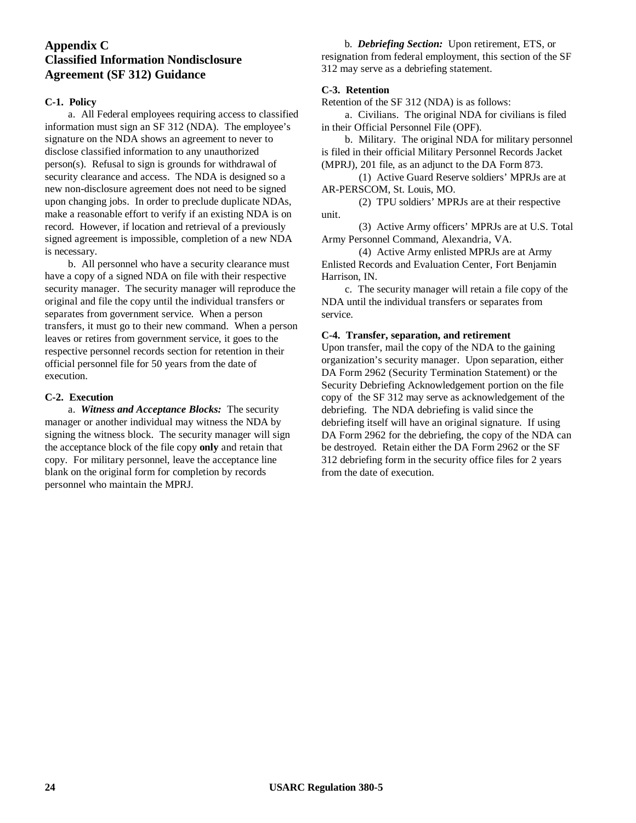# **Appendix C Classified Information Nondisclosure Agreement (SF 312) Guidance**

### **C-1. Policy**

a. All Federal employees requiring access to classified information must sign an SF 312 (NDA). The employee's signature on the NDA shows an agreement to never to disclose classified information to any unauthorized person(s). Refusal to sign is grounds for withdrawal of security clearance and access. The NDA is designed so a new non-disclosure agreement does not need to be signed upon changing jobs. In order to preclude duplicate NDAs, make a reasonable effort to verify if an existing NDA is on record. However, if location and retrieval of a previously signed agreement is impossible, completion of a new NDA is necessary.

b. All personnel who have a security clearance must have a copy of a signed NDA on file with their respective security manager. The security manager will reproduce the original and file the copy until the individual transfers or separates from government service. When a person transfers, it must go to their new command. When a person leaves or retires from government service, it goes to the respective personnel records section for retention in their official personnel file for 50 years from the date of execution.

### **C-2. Execution**

a. *Witness and Acceptance Blocks:* The security manager or another individual may witness the NDA by signing the witness block. The security manager will sign the acceptance block of the file copy **only** and retain that copy. For military personnel, leave the acceptance line blank on the original form for completion by records personnel who maintain the MPRJ.

b. *Debriefing Section:* Upon retirement, ETS, or resignation from federal employment, this section of the SF 312 may serve as a debriefing statement.

### **C-3. Retention**

Retention of the SF 312 (NDA) is as follows: a. Civilians. The original NDA for civilians is filed

in their Official Personnel File (OPF). b. Military. The original NDA for military personnel is filed in their official Military Personnel Records Jacket (MPRJ), 201 file, as an adjunct to the DA Form 873.

(1) Active Guard Reserve soldiers' MPRJs are at AR-PERSCOM, St. Louis, MO.

(2) TPU soldiers' MPRJs are at their respective unit.

(3) Active Army officers' MPRJs are at U.S. Total Army Personnel Command, Alexandria, VA.

(4) Active Army enlisted MPRJs are at Army Enlisted Records and Evaluation Center, Fort Benjamin Harrison, IN.

c. The security manager will retain a file copy of the NDA until the individual transfers or separates from service.

### **C-4. Transfer, separation, and retirement**

Upon transfer, mail the copy of the NDA to the gaining organization's security manager. Upon separation, either DA Form 2962 (Security Termination Statement) or the Security Debriefing Acknowledgement portion on the file copy of the SF 312 may serve as acknowledgement of the debriefing. The NDA debriefing is valid since the debriefing itself will have an original signature. If using DA Form 2962 for the debriefing, the copy of the NDA can be destroyed. Retain either the DA Form 2962 or the SF 312 debriefing form in the security office files for 2 years from the date of execution.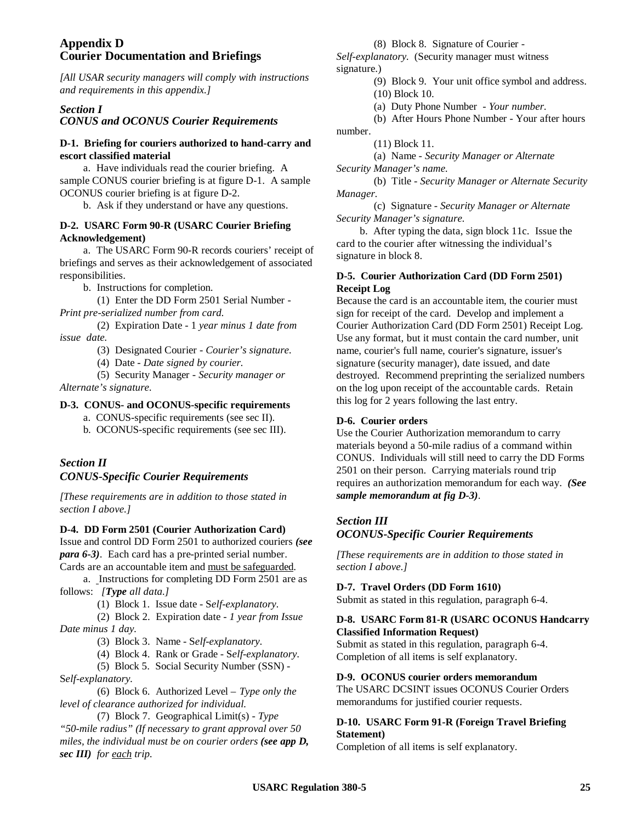### **Appendix D Courier Documentation and Briefings**

*[All USAR security managers will comply with instructions and requirements in this appendix.]*

### *Section I*

*CONUS and OCONUS Courier Requirements*

### **D-1. Briefing for couriers authorized to hand-carry and escort classified material**

a. Have individuals read the courier briefing. A sample CONUS courier briefing is at figure D-1. A sample OCONUS courier briefing is at figure D-2.

b. Ask if they understand or have any questions.

# **D-2. USARC Form 90-R (USARC Courier Briefing Acknowledgement)**

a. The USARC Form 90-R records couriers' receipt of briefings and serves as their acknowledgement of associated responsibilities.

b. Instructions for completion.

(1) Enter the DD Form 2501 Serial Number - *Print pre-serialized number from card.*

(2) Expiration Date - 1 *year minus 1 date from issue date.*

(3) Designated Courier - *Courier's signature.*

(4) Date - *Date signed by courier.*

(5) Security Manager - *Security manager or*

*Alternate's signature.*

### **D-3. CONUS- and OCONUS-specific requirements**

- a. CONUS-specific requirements (see sec II).
- b. OCONUS-specific requirements (see sec III).

# *Section II CONUS-Specific Courier Requirements*

*[These requirements are in addition to those stated in section I above.]*

### **D-4. DD Form 2501 (Courier Authorization Card)**

Issue and control DD Form 2501 to authorized couriers *(see para 6-3)*. Each card has a pre-printed serial number.

Cards are an accountable item and must be safeguarded. a. Instructions for completing DD Form 2501 are as follows: *[Type all data.]*

(1) Block 1. Issue date - S*elf-explanatory.*

(2) Block 2. Expiration date - *1 year from Issue Date minus 1 day.*

(3) Block 3. Name - S*elf-explanatory.*

(4) Block 4. Rank or Grade - S*elf-explanatory.*

(5) Block 5. Social Security Number (SSN) - S*elf-explanatory.*

(6) Block 6. Authorized Level – *Type only the level of clearance authorized for individual.*

(7) Block 7. Geographical Limit(s) - *Type "50-mile radius" (If necessary to grant approval over 50 miles, the individual must be on courier orders (see app D, sec III) for each trip.*

(8) Block 8. Signature of Courier -

*Self-explanatory.* (Security manager must witness signature.)

> (9) Block 9. Your unit office symbol and address. (10) Block 10.

(a) Duty Phone Number - *Your number.*

(b) After Hours Phone Number - Your after hours number.

(11) Block 11.

(a) Name - *Security Manager or Alternate Security Manager's name.*

(b) Title - *Security Manager or Alternate Security Manager.*

(c) Signature *- Security Manager or Alternate Security Manager's signature.*

b. After typing the data, sign block 11c. Issue the card to the courier after witnessing the individual's signature in block 8.

### **D-5. Courier Authorization Card (DD Form 2501) Receipt Log**

Because the card is an accountable item, the courier must sign for receipt of the card. Develop and implement a Courier Authorization Card (DD Form 2501) Receipt Log. Use any format, but it must contain the card number, unit name, courier's full name, courier's signature, issuer's signature (security manager), date issued, and date destroyed. Recommend preprinting the serialized numbers on the log upon receipt of the accountable cards. Retain this log for 2 years following the last entry.

### **D-6. Courier orders**

Use the Courier Authorization memorandum to carry materials beyond a 50-mile radius of a command within CONUS. Individuals will still need to carry the DD Forms 2501 on their person. Carrying materials round trip requires an authorization memorandum for each way. *(See sample memorandum at fig D-3)*.

# *Section III OCONUS-Specific Courier Requirements*

*[These requirements are in addition to those stated in section I above.]*

### **D-7. Travel Orders (DD Form 1610)**

Submit as stated in this regulation, paragraph 6-4.

### **D-8. USARC Form 81-R (USARC OCONUS Handcarry Classified Information Request)**

Submit as stated in this regulation, paragraph 6-4. Completion of all items is self explanatory.

### **D-9. OCONUS courier orders memorandum**

The USARC DCSINT issues OCONUS Courier Orders memorandums for justified courier requests.

### **D-10. USARC Form 91-R (Foreign Travel Briefing Statement)**

Completion of all items is self explanatory.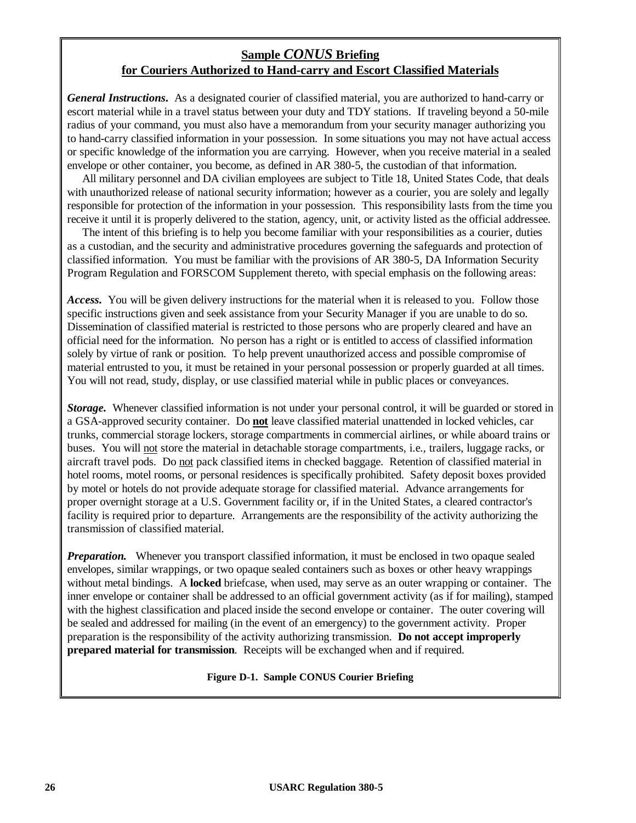# **Sample** *CONUS* **Briefing for Couriers Authorized to Hand-carry and Escort Classified Materials**

*General Instructions***.** As a designated courier of classified material, you are authorized to hand-carry or escort material while in a travel status between your duty and TDY stations. If traveling beyond a 50-mile radius of your command, you must also have a memorandum from your security manager authorizing you to hand-carry classified information in your possession. In some situations you may not have actual access or specific knowledge of the information you are carrying. However, when you receive material in a sealed envelope or other container, you become, as defined in AR 380-5, the custodian of that information.

All military personnel and DA civilian employees are subject to Title 18, United States Code, that deals with unauthorized release of national security information; however as a courier, you are solely and legally responsible for protection of the information in your possession. This responsibility lasts from the time you receive it until it is properly delivered to the station, agency, unit, or activity listed as the official addressee.

The intent of this briefing is to help you become familiar with your responsibilities as a courier, duties as a custodian, and the security and administrative procedures governing the safeguards and protection of classified information. You must be familiar with the provisions of AR 380-5, DA Information Security Program Regulation and FORSCOM Supplement thereto, with special emphasis on the following areas:

*Access***.** You will be given delivery instructions for the material when it is released to you. Follow those specific instructions given and seek assistance from your Security Manager if you are unable to do so. Dissemination of classified material is restricted to those persons who are properly cleared and have an official need for the information. No person has a right or is entitled to access of classified information solely by virtue of rank or position. To help prevent unauthorized access and possible compromise of material entrusted to you, it must be retained in your personal possession or properly guarded at all times. You will not read, study, display, or use classified material while in public places or conveyances.

*Storage.* Whenever classified information is not under your personal control, it will be guarded or stored in a GSA-approved security container. Do **not** leave classified material unattended in locked vehicles, car trunks, commercial storage lockers, storage compartments in commercial airlines, or while aboard trains or buses. You will not store the material in detachable storage compartments, i.e., trailers, luggage racks, or aircraft travel pods. Do not pack classified items in checked baggage. Retention of classified material in hotel rooms, motel rooms, or personal residences is specifically prohibited. Safety deposit boxes provided by motel or hotels do not provide adequate storage for classified material. Advance arrangements for proper overnight storage at a U.S. Government facility or, if in the United States, a cleared contractor's facility is required prior to departure. Arrangements are the responsibility of the activity authorizing the transmission of classified material.

*Preparation.* Whenever you transport classified information, it must be enclosed in two opaque sealed envelopes, similar wrappings, or two opaque sealed containers such as boxes or other heavy wrappings without metal bindings. A **locked** briefcase, when used, may serve as an outer wrapping or container. The inner envelope or container shall be addressed to an official government activity (as if for mailing), stamped with the highest classification and placed inside the second envelope or container. The outer covering will be sealed and addressed for mailing (in the event of an emergency) to the government activity. Proper preparation is the responsibility of the activity authorizing transmission. **Do not accept improperly prepared material for transmission**. Receipts will be exchanged when and if required.

**Figure D-1. Sample CONUS Courier Briefing**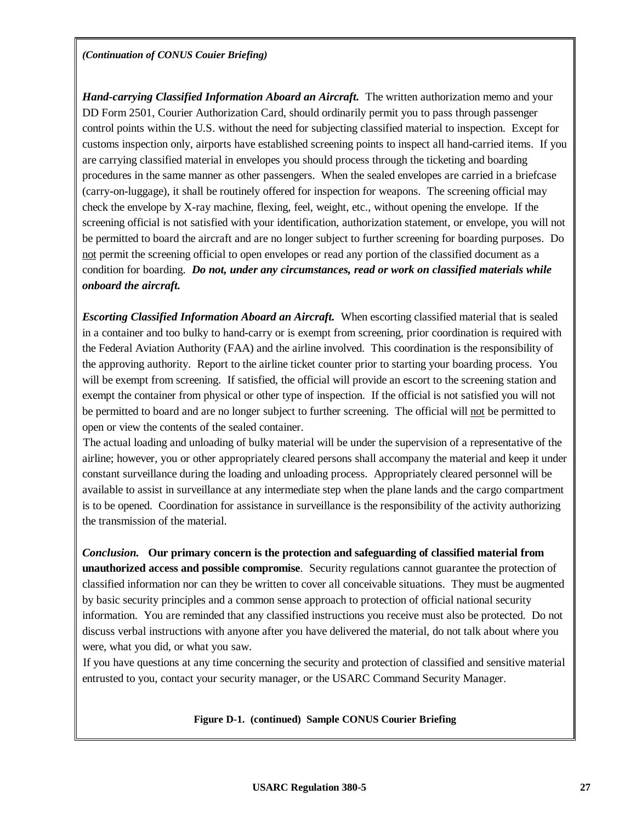### **USARC Regulation 380-5 27**

*(Continuation of CONUS Couier Briefing)*

*Hand-carrying Classified Information Aboard an Aircraft.* The written authorization memo and your DD Form 2501, Courier Authorization Card, should ordinarily permit you to pass through passenger control points within the U.S. without the need for subjecting classified material to inspection. Except for customs inspection only, airports have established screening points to inspect all hand-carried items. If you are carrying classified material in envelopes you should process through the ticketing and boarding procedures in the same manner as other passengers. When the sealed envelopes are carried in a briefcase (carry-on-luggage), it shall be routinely offered for inspection for weapons. The screening official may check the envelope by X-ray machine, flexing, feel, weight, etc., without opening the envelope. If the screening official is not satisfied with your identification, authorization statement, or envelope, you will not be permitted to board the aircraft and are no longer subject to further screening for boarding purposes. Do not permit the screening official to open envelopes or read any portion of the classified document as a condition for boarding. *Do not, under any circumstances, read or work on classified materials while onboard the aircraft.*

*Escorting Classified Information Aboard an Aircraft.* When escorting classified material that is sealed in a container and too bulky to hand-carry or is exempt from screening, prior coordination is required with the Federal Aviation Authority (FAA) and the airline involved. This coordination is the responsibility of the approving authority. Report to the airline ticket counter prior to starting your boarding process. You will be exempt from screening. If satisfied, the official will provide an escort to the screening station and exempt the container from physical or other type of inspection. If the official is not satisfied you will not be permitted to board and are no longer subject to further screening. The official will not be permitted to open or view the contents of the sealed container.

The actual loading and unloading of bulky material will be under the supervision of a representative of the airline; however, you or other appropriately cleared persons shall accompany the material and keep it under constant surveillance during the loading and unloading process. Appropriately cleared personnel will be available to assist in surveillance at any intermediate step when the plane lands and the cargo compartment is to be opened. Coordination for assistance in surveillance is the responsibility of the activity authorizing the transmission of the material.

*Conclusion.* **Our primary concern is the protection and safeguarding of classified material from unauthorized access and possible compromise**. Security regulations cannot guarantee the protection of classified information nor can they be written to cover all conceivable situations. They must be augmented by basic security principles and a common sense approach to protection of official national security information. You are reminded that any classified instructions you receive must also be protected. Do not discuss verbal instructions with anyone after you have delivered the material, do not talk about where you were, what you did, or what you saw.

If you have questions at any time concerning the security and protection of classified and sensitive material entrusted to you, contact your security manager, or the USARC Command Security Manager.

**Figure D-1. (continued) Sample CONUS Courier Briefing**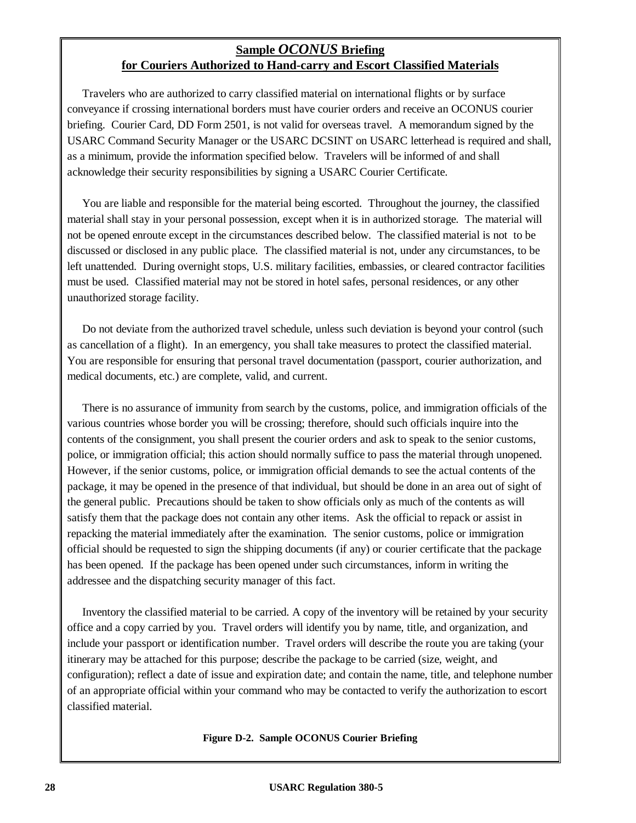# **Sample** *OCONUS* **Briefing for Couriers Authorized to Hand-carry and Escort Classified Materials**

Travelers who are authorized to carry classified material on international flights or by surface conveyance if crossing international borders must have courier orders and receive an OCONUS courier briefing. Courier Card, DD Form 2501, is not valid for overseas travel. A memorandum signed by the USARC Command Security Manager or the USARC DCSINT on USARC letterhead is required and shall, as a minimum, provide the information specified below. Travelers will be informed of and shall acknowledge their security responsibilities by signing a USARC Courier Certificate.

You are liable and responsible for the material being escorted. Throughout the journey, the classified material shall stay in your personal possession, except when it is in authorized storage. The material will not be opened enroute except in the circumstances described below. The classified material is not to be discussed or disclosed in any public place. The classified material is not, under any circumstances, to be left unattended. During overnight stops, U.S. military facilities, embassies, or cleared contractor facilities must be used. Classified material may not be stored in hotel safes, personal residences, or any other unauthorized storage facility.

Do not deviate from the authorized travel schedule, unless such deviation is beyond your control (such as cancellation of a flight). In an emergency, you shall take measures to protect the classified material. You are responsible for ensuring that personal travel documentation (passport, courier authorization, and medical documents, etc.) are complete, valid, and current.

There is no assurance of immunity from search by the customs, police, and immigration officials of the various countries whose border you will be crossing; therefore, should such officials inquire into the contents of the consignment, you shall present the courier orders and ask to speak to the senior customs, police, or immigration official; this action should normally suffice to pass the material through unopened. However, if the senior customs, police, or immigration official demands to see the actual contents of the package, it may be opened in the presence of that individual, but should be done in an area out of sight of the general public. Precautions should be taken to show officials only as much of the contents as will satisfy them that the package does not contain any other items. Ask the official to repack or assist in repacking the material immediately after the examination. The senior customs, police or immigration official should be requested to sign the shipping documents (if any) or courier certificate that the package has been opened. If the package has been opened under such circumstances, inform in writing the addressee and the dispatching security manager of this fact.

Inventory the classified material to be carried. A copy of the inventory will be retained by your security office and a copy carried by you. Travel orders will identify you by name, title, and organization, and include your passport or identification number. Travel orders will describe the route you are taking (your itinerary may be attached for this purpose; describe the package to be carried (size, weight, and configuration); reflect a date of issue and expiration date; and contain the name, title, and telephone number of an appropriate official within your command who may be contacted to verify the authorization to escort classified material.

**Figure D-2. Sample OCONUS Courier Briefing**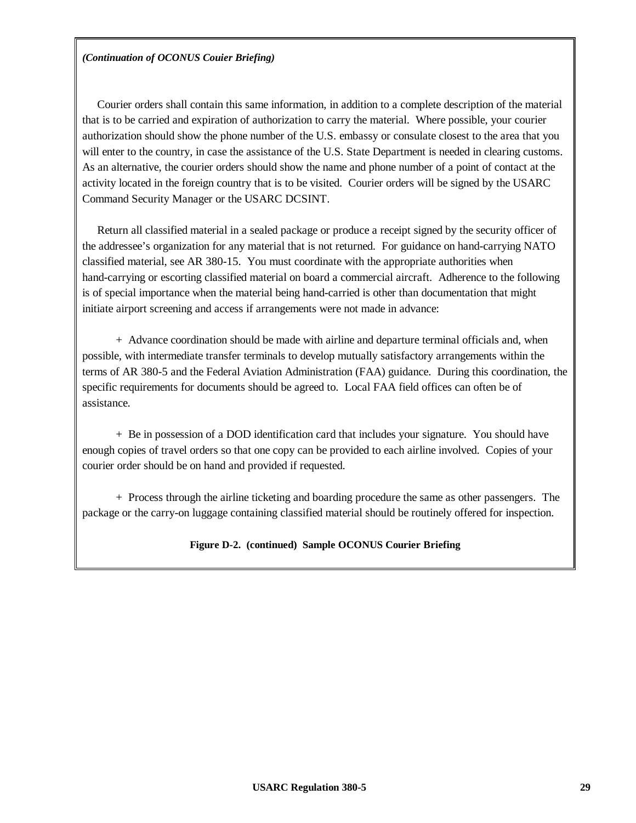# *(Continuation of OCONUS Couier Briefing)*

Courier orders shall contain this same information, in addition to a complete description of the material that is to be carried and expiration of authorization to carry the material. Where possible, your courier authorization should show the phone number of the U.S. embassy or consulate closest to the area that you will enter to the country, in case the assistance of the U.S. State Department is needed in clearing customs. As an alternative, the courier orders should show the name and phone number of a point of contact at the activity located in the foreign country that is to be visited. Courier orders will be signed by the USARC Command Security Manager or the USARC DCSINT.

Return all classified material in a sealed package or produce a receipt signed by the security officer of the addressee's organization for any material that is not returned. For guidance on hand-carrying NATO classified material, see AR 380-15. You must coordinate with the appropriate authorities when hand-carrying or escorting classified material on board a commercial aircraft. Adherence to the following is of special importance when the material being hand-carried is other than documentation that might initiate airport screening and access if arrangements were not made in advance:

+ Advance coordination should be made with airline and departure terminal officials and, when possible, with intermediate transfer terminals to develop mutually satisfactory arrangements within the terms of AR 380-5 and the Federal Aviation Administration (FAA) guidance. During this coordination, the specific requirements for documents should be agreed to. Local FAA field offices can often be of assistance.

+ Be in possession of a DOD identification card that includes your signature. You should have enough copies of travel orders so that one copy can be provided to each airline involved. Copies of your courier order should be on hand and provided if requested.

+ Process through the airline ticketing and boarding procedure the same as other passengers. The package or the carry-on luggage containing classified material should be routinely offered for inspection.

# **Figure D-2. (continued) Sample OCONUS Courier Briefing**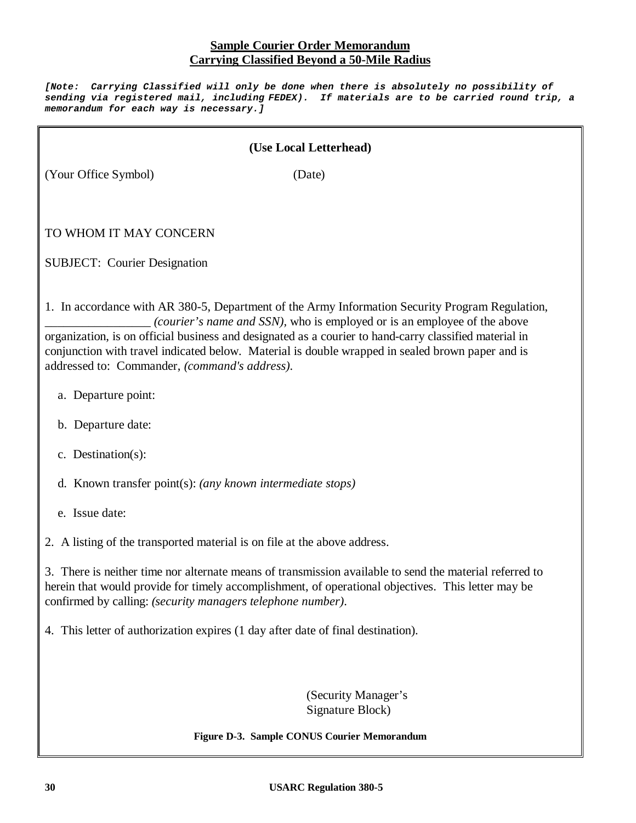# **Sample Courier Order Memorandum Carrying Classified Beyond a 50-Mile Radius**

*[Note: Carrying Classified will only be done when there is absolutely no possibility of sending via registered mail, including FEDEX). If materials are to be carried round trip, a memorandum for each way is necessary.]*

# **(Use Local Letterhead)**

(Your Office Symbol) (Date)

# TO WHOM IT MAY CONCERN

SUBJECT: Courier Designation

1. In accordance with AR 380-5, Department of the Army Information Security Program Regulation, *(courier's name and SSN),* who is employed or is an employee of the above organization, is on official business and designated as a courier to hand-carry classified material in conjunction with travel indicated below. Material is double wrapped in sealed brown paper and is addressed to: Commander, *(command's address)*.

- a. Departure point:
- b. Departure date:
- c. Destination(s):
- d. Known transfer point(s): *(any known intermediate stops)*
- e. Issue date:

2. A listing of the transported material is on file at the above address.

3. There is neither time nor alternate means of transmission available to send the material referred to herein that would provide for timely accomplishment, of operational objectives. This letter may be confirmed by calling: *(security managers telephone number)*.

4. This letter of authorization expires (1 day after date of final destination).

(Security Manager's Signature Block)

**Figure D-3. Sample CONUS Courier Memorandum**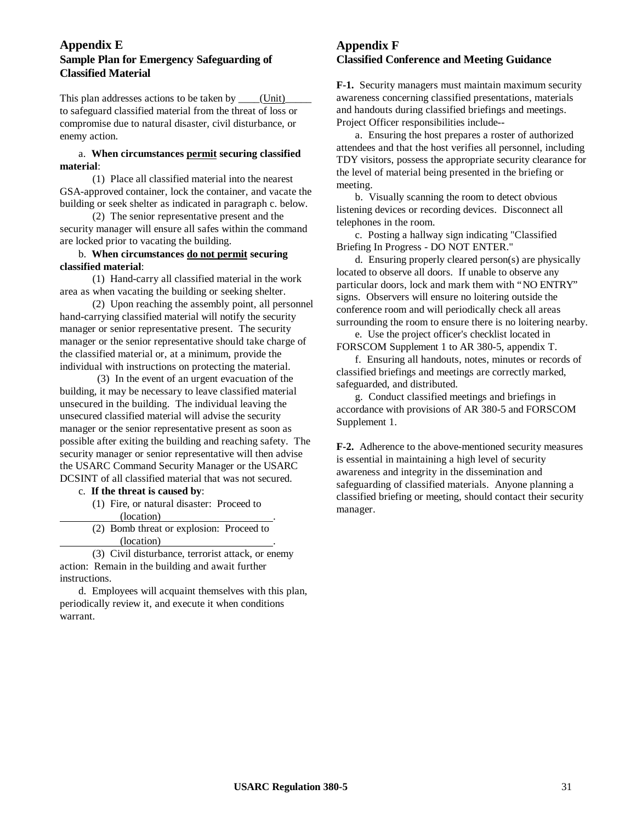### **Appendix E Sample Plan for Emergency Safeguarding of Classified Material**

This plan addresses actions to be taken by (Unit) to safeguard classified material from the threat of loss or compromise due to natural disaster, civil disturbance, or enemy action.

#### a. **When circumstances permit securing classified material**:

(1) Place all classified material into the nearest GSA-approved container, lock the container, and vacate the building or seek shelter as indicated in paragraph c. below.

(2) The senior representative present and the security manager will ensure all safes within the command are locked prior to vacating the building.

### b. **When circumstances do not permit securing classified material**:

(1) Hand-carry all classified material in the work area as when vacating the building or seeking shelter.

(2) Upon reaching the assembly point, all personnel hand-carrying classified material will notify the security manager or senior representative present. The security manager or the senior representative should take charge of the classified material or, at a minimum, provide the individual with instructions on protecting the material.

(3) In the event of an urgent evacuation of the building, it may be necessary to leave classified material unsecured in the building. The individual leaving the unsecured classified material will advise the security manager or the senior representative present as soon as possible after exiting the building and reaching safety. The security manager or senior representative will then advise the USARC Command Security Manager or the USARC DCSINT of all classified material that was not secured.

c. **If the threat is caused by**:

(1) Fire, or natural disaster: Proceed to (location) .

(2) Bomb threat or explosion: Proceed to (location) .

(3) Civil disturbance, terrorist attack, or enemy action: Remain in the building and await further instructions.

d. Employees will acquaint themselves with this plan, periodically review it, and execute it when conditions warrant.

# **Appendix F Classified Conference and Meeting Guidance**

**F-1.** Security managers must maintain maximum security awareness concerning classified presentations, materials and handouts during classified briefings and meetings. Project Officer responsibilities include--

a. Ensuring the host prepares a roster of authorized attendees and that the host verifies all personnel, including TDY visitors, possess the appropriate security clearance for the level of material being presented in the briefing or meeting.

b. Visually scanning the room to detect obvious listening devices or recording devices. Disconnect all telephones in the room.

c. Posting a hallway sign indicating "Classified Briefing In Progress - DO NOT ENTER."

d. Ensuring properly cleared person(s) are physically located to observe all doors. If unable to observe any particular doors, lock and mark them with "NO ENTRY" signs. Observers will ensure no loitering outside the conference room and will periodically check all areas surrounding the room to ensure there is no loitering nearby.

e. Use the project officer's checklist located in FORSCOM Supplement 1 to AR 380-5, appendix T.

f. Ensuring all handouts, notes, minutes or records of classified briefings and meetings are correctly marked, safeguarded, and distributed.

g. Conduct classified meetings and briefings in accordance with provisions of AR 380-5 and FORSCOM Supplement 1.

**F-2.** Adherence to the above-mentioned security measures is essential in maintaining a high level of security awareness and integrity in the dissemination and safeguarding of classified materials. Anyone planning a classified briefing or meeting, should contact their security manager.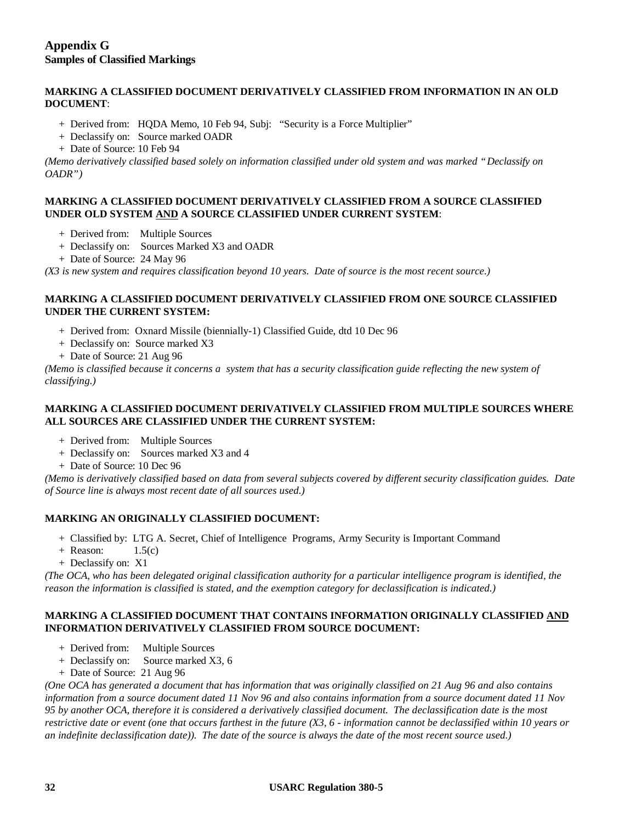### **MARKING A CLASSIFIED DOCUMENT DERIVATIVELY CLASSIFIED FROM INFORMATION IN AN OLD DOCUMENT**:

- + Derived from: HQDA Memo, 10 Feb 94, Subj: "Security is a Force Multiplier"
- + Declassify on: Source marked OADR
- + Date of Source: 10 Feb 94

*(Memo derivatively classified based solely on information classified under old system and was marked "Declassify on OADR")*

### **MARKING A CLASSIFIED DOCUMENT DERIVATIVELY CLASSIFIED FROM A SOURCE CLASSIFIED UNDER OLD SYSTEM AND A SOURCE CLASSIFIED UNDER CURRENT SYSTEM**:

- + Derived from: Multiple Sources
- + Declassify on: Sources Marked X3 and OADR
- + Date of Source: 24 May 96

*(X3 is new system and requires classification beyond 10 years. Date of source is the most recent source.)*

### **MARKING A CLASSIFIED DOCUMENT DERIVATIVELY CLASSIFIED FROM ONE SOURCE CLASSIFIED UNDER THE CURRENT SYSTEM:**

- + Derived from: Oxnard Missile (biennially-1) Classified Guide, dtd 10 Dec 96
- + Declassify on: Source marked X3
- + Date of Source: 21 Aug 96

*(Memo is classified because it concerns a system that has a security classification guide reflecting the new system of classifying.)*

### **MARKING A CLASSIFIED DOCUMENT DERIVATIVELY CLASSIFIED FROM MULTIPLE SOURCES WHERE ALL SOURCES ARE CLASSIFIED UNDER THE CURRENT SYSTEM:**

- + Derived from: Multiple Sources
- + Declassify on: Sources marked X3 and 4
- + Date of Source: 10 Dec 96

*(Memo is derivatively classified based on data from several subjects covered by different security classification guides. Date of Source line is always most recent date of all sources used.)*

### **MARKING AN ORIGINALLY CLASSIFIED DOCUMENT:**

- + Classified by: LTG A. Secret, Chief of Intelligence Programs, Army Security is Important Command
- $+$  Reason:  $1.5(c)$
- + Declassify on: X1

*(The OCA, who has been delegated original classification authority for a particular intelligence program is identified, the reason the information is classified is stated, and the exemption category for declassification is indicated.)*

### **MARKING A CLASSIFIED DOCUMENT THAT CONTAINS INFORMATION ORIGINALLY CLASSIFIED AND INFORMATION DERIVATIVELY CLASSIFIED FROM SOURCE DOCUMENT:**

- + Derived from: Multiple Sources
- + Declassify on: Source marked X3, 6
- + Date of Source: 21 Aug 96

*(One OCA has generated a document that has information that was originally classified on 21 Aug 96 and also contains information from a source document dated 11 Nov 96 and also contains information from a source document dated 11 Nov 95 by another OCA, therefore it is considered a derivatively classified document. The declassification date is the most restrictive date or event (one that occurs farthest in the future (X3, 6 - information cannot be declassified within 10 years or an indefinite declassification date)). The date of the source is always the date of the most recent source used.)*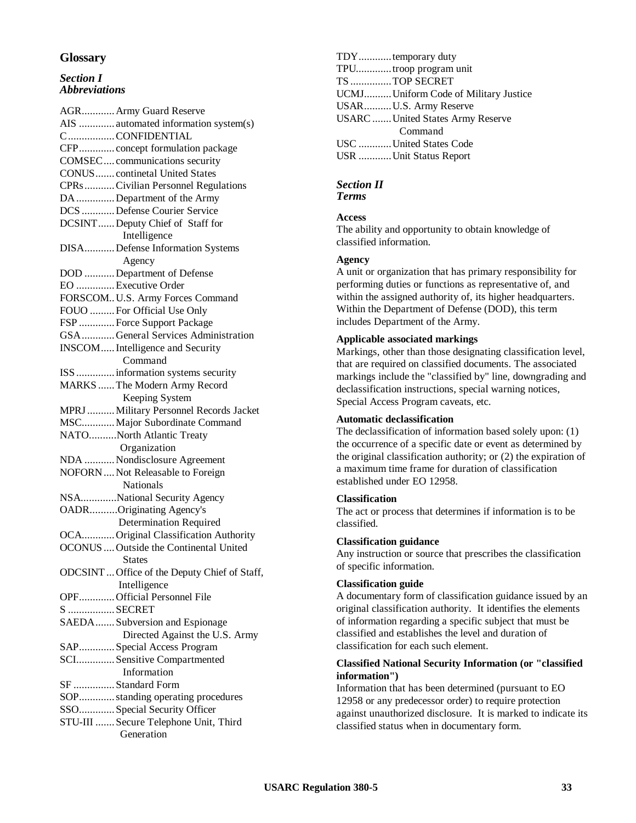### **Glossary**

#### *Section I Abbreviations*

AGR............Army Guard Reserve AIS ............. automated information system(s) C.................CONFIDENTIAL CFP............. concept formulation package COMSEC.... communications security CONUS....... continetal United States CPRs...........Civilian Personnel Regulations DA..............Department of the Army DCS ............Defense Courier Service DCSINT......Deputy Chief of Staff for Intelligence DISA...........Defense Information Systems Agency DOD ...........Department of Defense EO ..............Executive Order FORSCOM..U.S. Army Forces Command FOUO .........For Official Use Only FSP .............Force Support Package GSA............General Services Administration INSCOM.....Intelligence and Security Command ISS..............information systems security MARKS ......The Modern Army Record Keeping System MPRJ..........Military Personnel Records Jacket MSC............Major Subordinate Command NATO..........North Atlantic Treaty Organization NDA ...........Nondisclosure Agreement NOFORN....Not Releasable to Foreign Nationals NSA.............National Security Agency OADR..........Originating Agency's Determination Required OCA............Original Classification Authority OCONUS....Outside the Continental United States ODCSINT...Office of the Deputy Chief of Staff, Intelligence OPF.............Official Personnel File S .................SECRET SAEDA.......Subversion and Espionage Directed Against the U.S. Army SAP.............Special Access Program SCI..............Sensitive Compartmented Information SF ...............Standard Form SOP.............standing operating procedures SSO.............Special Security Officer STU-III .......Secure Telephone Unit, Third Generation

TDY............temporary duty TPU.............troop program unit TS ...............TOP SECRET UCMJ..........Uniform Code of Military Justice USAR..........U.S. Army Reserve USARC.......United States Army Reserve Command USC ............United States Code USR ............Unit Status Report

# *Section II*

*Terms*

### **Access**

The ability and opportunity to obtain knowledge of classified information.

#### **Agency**

A unit or organization that has primary responsibility for performing duties or functions as representative of, and within the assigned authority of, its higher headquarters. Within the Department of Defense (DOD), this term includes Department of the Army.

#### **Applicable associated markings**

Markings, other than those designating classification level, that are required on classified documents. The associated markings include the "classified by" line, downgrading and declassification instructions, special warning notices, Special Access Program caveats, etc.

### **Automatic declassification**

The declassification of information based solely upon: (1) the occurrence of a specific date or event as determined by the original classification authority; or (2) the expiration of a maximum time frame for duration of classification established under EO 12958.

#### **Classification**

The act or process that determines if information is to be classified.

#### **Classification guidance**

Any instruction or source that prescribes the classification of specific information.

#### **Classification guide**

A documentary form of classification guidance issued by an original classification authority. It identifies the elements of information regarding a specific subject that must be classified and establishes the level and duration of classification for each such element.

#### **Classified National Security Information (or "classified information")**

Information that has been determined (pursuant to EO 12958 or any predecessor order) to require protection against unauthorized disclosure. It is marked to indicate its classified status when in documentary form.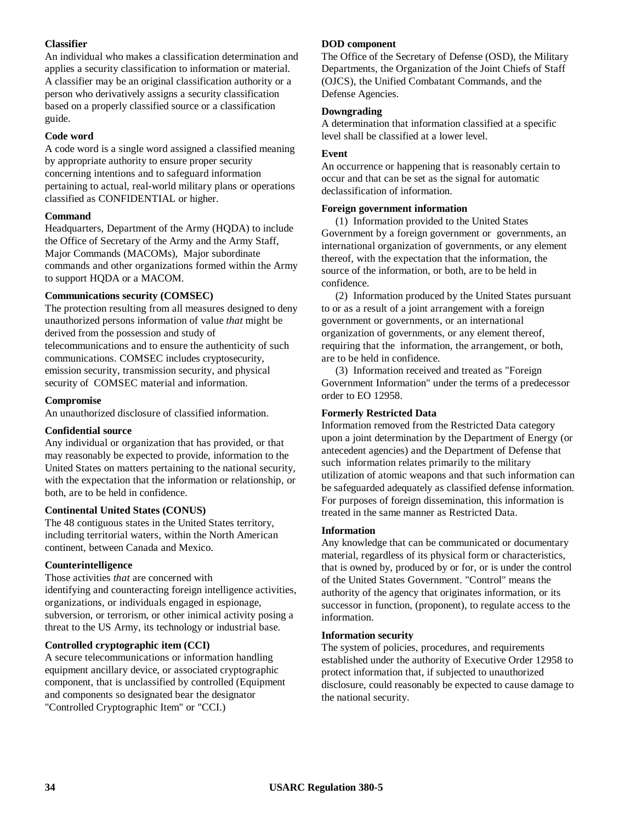### **Classifier**

An individual who makes a classification determination and applies a security classification to information or material. A classifier may be an original classification authority or a person who derivatively assigns a security classification based on a properly classified source or a classification guide.

### **Code word**

A code word is a single word assigned a classified meaning by appropriate authority to ensure proper security concerning intentions and to safeguard information pertaining to actual, real-world military plans or operations classified as CONFIDENTIAL or higher.

### **Command**

Headquarters, Department of the Army (HQDA) to include the Office of Secretary of the Army and the Army Staff, Major Commands (MACOMs), Major subordinate commands and other organizations formed within the Army to support HQDA or a MACOM.

### **Communications security (COMSEC)**

The protection resulting from all measures designed to deny unauthorized persons information of value *that* might be derived from the possession and study of telecommunications and to ensure the authenticity of such communications. COMSEC includes cryptosecurity, emission security, transmission security, and physical security of COMSEC material and information.

### **Compromise**

An unauthorized disclosure of classified information.

### **Confidential source**

Any individual or organization that has provided, or that may reasonably be expected to provide, information to the United States on matters pertaining to the national security, with the expectation that the information or relationship, or both, are to be held in confidence.

### **Continental United States (CONUS)**

The 48 contiguous states in the United States territory, including territorial waters, within the North American continent, between Canada and Mexico.

### **Counterintelligence**

Those activities *that* are concerned with identifying and counteracting foreign intelligence activities, organizations, or individuals engaged in espionage, subversion, or terrorism, or other inimical activity posing a threat to the US Army, its technology or industrial base.

### **Controlled cryptographic item (CCI)**

A secure telecommunications or information handling equipment ancillary device, or associated cryptographic component, that is unclassified by controlled (Equipment and components so designated bear the designator "Controlled Cryptographic Item" or "CCI.)

### **DOD component**

The Office of the Secretary of Defense (OSD), the Military Departments, the Organization of the Joint Chiefs of Staff (OJCS), the Unified Combatant Commands, and the Defense Agencies.

### **Downgrading**

A determination that information classified at a specific level shall be classified at a lower level.

### **Event**

An occurrence or happening that is reasonably certain to occur and that can be set as the signal for automatic declassification of information.

### **Foreign government information**

(1) Information provided to the United States Government by a foreign government or governments, an international organization of governments, or any element thereof, with the expectation that the information, the source of the information, or both, are to be held in confidence.

(2) Information produced by the United States pursuant to or as a result of a joint arrangement with a foreign government or governments, or an international organization of governments, or any element thereof, requiring that the information, the arrangement, or both, are to be held in confidence.

(3) Information received and treated as "Foreign Government Information" under the terms of a predecessor order to EO 12958.

### **Formerly Restricted Data**

Information removed from the Restricted Data category upon a joint determination by the Department of Energy (or antecedent agencies) and the Department of Defense that such information relates primarily to the military utilization of atomic weapons and that such information can be safeguarded adequately as classified defense information. For purposes of foreign dissemination, this information is treated in the same manner as Restricted Data.

### **Information**

Any knowledge that can be communicated or documentary material, regardless of its physical form or characteristics, that is owned by, produced by or for, or is under the control of the United States Government. "Control" means the authority of the agency that originates information, or its successor in function, (proponent), to regulate access to the information.

### **Information security**

The system of policies, procedures, and requirements established under the authority of Executive Order 12958 to protect information that, if subjected to unauthorized disclosure, could reasonably be expected to cause damage to the national security.